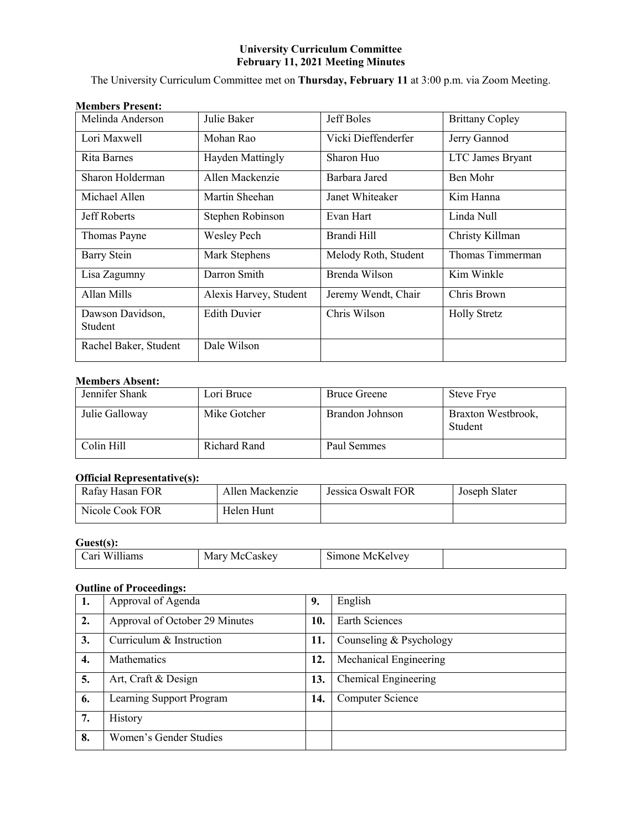# **University Curriculum Committee February 11, 2021 Meeting Minutes**

The University Curriculum Committee met on **Thursday, February 11** at 3:00 p.m. via Zoom Meeting.

| Melinda Anderson            | Julie Baker            | Jeff Boles           | <b>Brittany Copley</b> |
|-----------------------------|------------------------|----------------------|------------------------|
| Lori Maxwell                | Mohan Rao              | Vicki Dieffenderfer  | Jerry Gannod           |
| Rita Barnes                 | Hayden Mattingly       | Sharon Huo           | LTC James Bryant       |
| Sharon Holderman            | Allen Mackenzie        | Barbara Jared        | Ben Mohr               |
| Michael Allen               | Martin Sheehan         | Janet Whiteaker      | Kim Hanna              |
| Jeff Roberts                | Stephen Robinson       | Evan Hart            | Linda Null             |
| Thomas Payne                | <b>Wesley Pech</b>     | Brandi Hill          | Christy Killman        |
| Barry Stein                 | Mark Stephens          | Melody Roth, Student | Thomas Timmerman       |
| Lisa Zagumny                | Darron Smith           | Brenda Wilson        | Kim Winkle             |
| Allan Mills                 | Alexis Harvey, Student | Jeremy Wendt, Chair  | Chris Brown            |
| Dawson Davidson,<br>Student | <b>Edith Duvier</b>    | Chris Wilson         | <b>Holly Stretz</b>    |
| Rachel Baker, Student       | Dale Wilson            |                      |                        |

# **Members Present:**

# **Members Absent:**

| Jennifer Shank | Lori Bruce   | <b>Bruce Greene</b> | <b>Steve Frye</b>             |
|----------------|--------------|---------------------|-------------------------------|
| Julie Galloway | Mike Gotcher | Brandon Johnson     | Braxton Westbrook,<br>Student |
| Colin Hill     | Richard Rand | Paul Semmes         |                               |

# **Official Representative(s):**

| Rafay Hasan FOR | Allen Mackenzie | Jessica Oswalt FOR | Joseph Slater |
|-----------------|-----------------|--------------------|---------------|
| Nicole Cook FOR | Helen Hunt      |                    |               |

# **Guest(s):**

| T T<br>`ar<br>шк<br>$\tilde{}$ | ---<br>N /I<br>ำพบ | $-$<br>$\sim$<br>$\sim$<br>yn c<br>VI.<br>$\overline{\phantom{a}}$ |  |
|--------------------------------|--------------------|--------------------------------------------------------------------|--|
|--------------------------------|--------------------|--------------------------------------------------------------------|--|

# **Outline of Proceedings:**

| 1.               | Approval of Agenda             | 9.  | English                 |
|------------------|--------------------------------|-----|-------------------------|
| $\overline{2}$ . | Approval of October 29 Minutes | 10. | Earth Sciences          |
| 3.               | Curriculum & Instruction       | 11. | Counseling & Psychology |
| 4.               | <b>Mathematics</b>             | 12. | Mechanical Engineering  |
| 5.               | Art, Craft & Design            | 13. | Chemical Engineering    |
| 6.               | Learning Support Program       | 14. | Computer Science        |
| 7.               | History                        |     |                         |
| 8.               | Women's Gender Studies         |     |                         |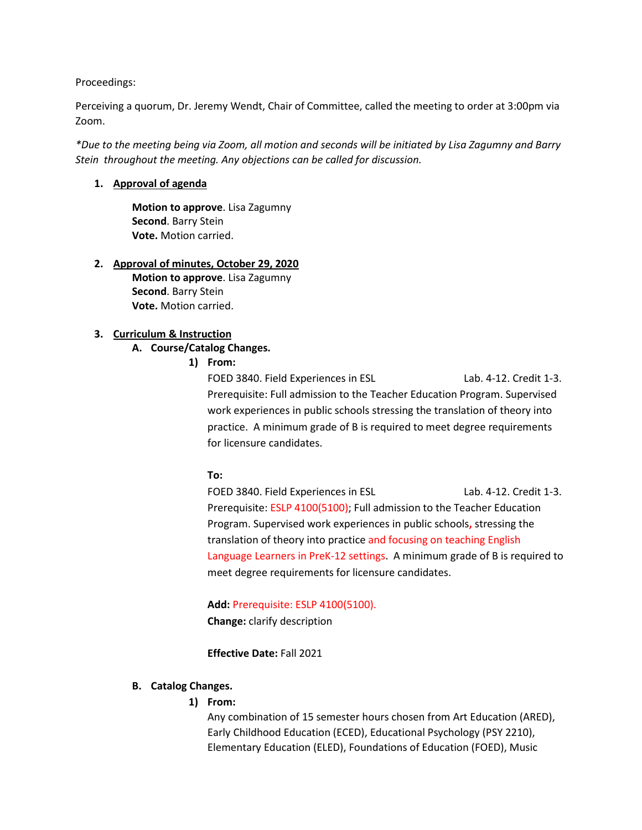Proceedings:

Perceiving a quorum, Dr. Jeremy Wendt, Chair of Committee, called the meeting to order at 3:00pm via Zoom.

*\*Due to the meeting being via Zoom, all motion and seconds will be initiated by Lisa Zagumny and Barry Stein throughout the meeting. Any objections can be called for discussion.* 

# **1. Approval of agenda**

**Motion to approve**. Lisa Zagumny **Second**. Barry Stein **Vote.** Motion carried.

# **2. Approval of minutes, October 29, 2020**

**Motion to approve**. Lisa Zagumny **Second**. Barry Stein **Vote.** Motion carried.

# **3. Curriculum & Instruction**

# **A. Course/Catalog Changes.**

**1) From:**

FOED 3840. Field Experiences in ESL Lab. 4-12. Credit 1-3. Prerequisite: Full admission to the Teacher Education Program. Supervised work experiences in public schools stressing the translation of theory into practice. A minimum grade of B is required to meet degree requirements for licensure candidates.

#### **To:**

FOED 3840. Field Experiences in ESL Lab. 4-12. Credit 1-3. Prerequisite: ESLP 4100(5100); Full admission to the Teacher Education Program. Supervised work experiences in public schools**,** stressing the translation of theory into practice and focusing on teaching English Language Learners in PreK-12 settings. A minimum grade of B is required to meet degree requirements for licensure candidates.

**Add:** Prerequisite: ESLP 4100(5100). **Change:** clarify description

**Effective Date:** Fall 2021

#### **B. Catalog Changes.**

# **1) From:**

Any combination of 15 semester hours chosen from Art Education (ARED), Early Childhood Education (ECED), Educational Psychology (PSY 2210), Elementary Education (ELED), Foundations of Education (FOED), Music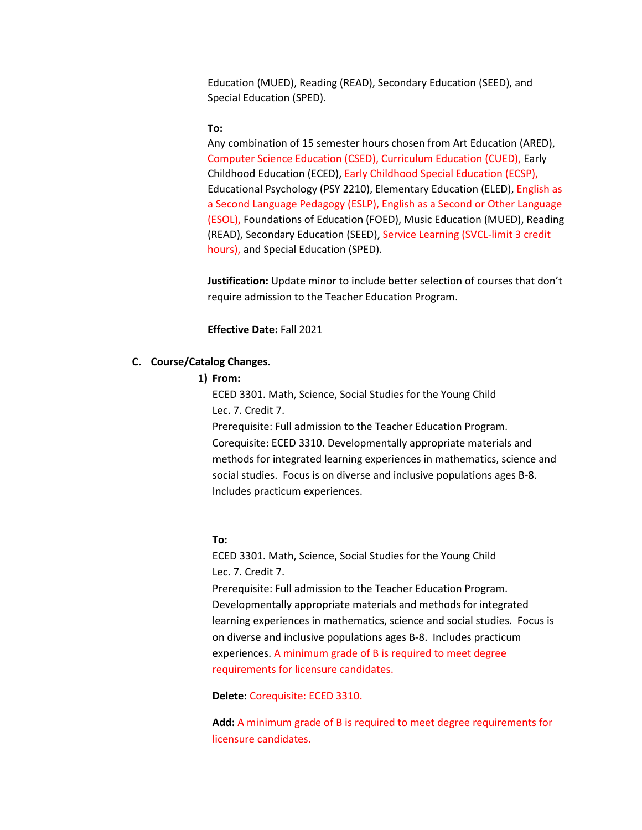Education (MUED), Reading (READ), Secondary Education (SEED), and Special Education (SPED).

#### **To:**

Any combination of 15 semester hours chosen from Art Education (ARED), Computer Science Education (CSED), Curriculum Education (CUED), Early Childhood Education (ECED), Early Childhood Special Education (ECSP), Educational Psychology (PSY 2210), Elementary Education (ELED), English as a Second Language Pedagogy (ESLP), English as a Second or Other Language (ESOL), Foundations of Education (FOED), Music Education (MUED), Reading (READ), Secondary Education (SEED), Service Learning (SVCL-limit 3 credit hours), and Special Education (SPED).

**Justification:** Update minor to include better selection of courses that don't require admission to the Teacher Education Program.

**Effective Date:** Fall 2021

# **C. Course/Catalog Changes.**

#### **1) From:**

ECED 3301. Math, Science, Social Studies for the Young Child Lec. 7. Credit 7.

Prerequisite: Full admission to the Teacher Education Program. Corequisite: ECED 3310. Developmentally appropriate materials and methods for integrated learning experiences in mathematics, science and social studies. Focus is on diverse and inclusive populations ages B-8. Includes practicum experiences.

#### **To:**

ECED 3301. Math, Science, Social Studies for the Young Child Lec. 7. Credit 7.

Prerequisite: Full admission to the Teacher Education Program. Developmentally appropriate materials and methods for integrated learning experiences in mathematics, science and social studies. Focus is on diverse and inclusive populations ages B-8. Includes practicum experiences. A minimum grade of B is required to meet degree requirements for licensure candidates.

**Delete:** Corequisite: ECED 3310.

**Add:** A minimum grade of B is required to meet degree requirements for licensure candidates.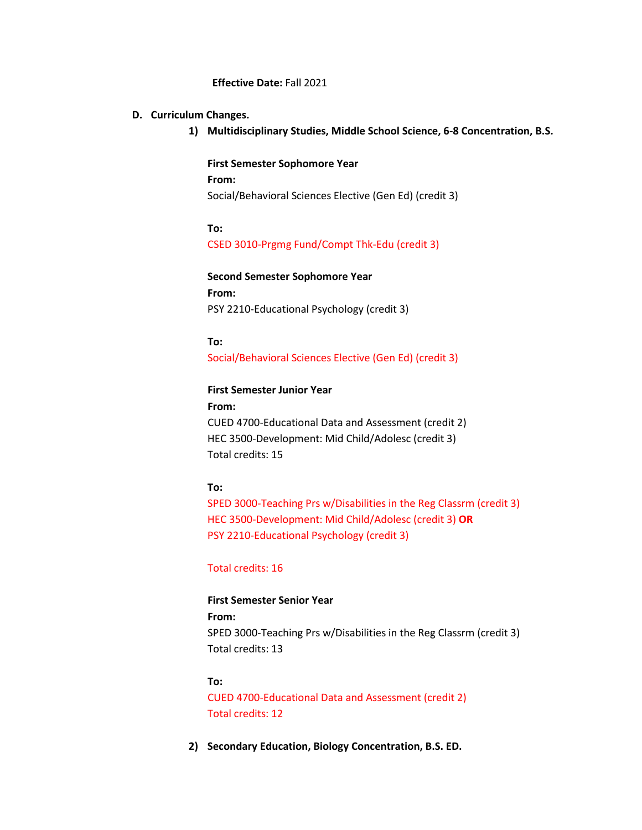#### **Effective Date:** Fall 2021

# **D. Curriculum Changes.**

**1) Multidisciplinary Studies, Middle School Science, 6-8 Concentration, B.S.**

**First Semester Sophomore Year From:** Social/Behavioral Sciences Elective (Gen Ed) (credit 3)

**To:** CSED 3010-Prgmg Fund/Compt Thk-Edu (credit 3)

**Second Semester Sophomore Year From:** PSY 2210-Educational Psychology (credit 3)

**To:** Social/Behavioral Sciences Elective (Gen Ed) (credit 3)

#### **First Semester Junior Year**

**From:** CUED 4700-Educational Data and Assessment (credit 2) HEC 3500-Development: Mid Child/Adolesc (credit 3) Total credits: 15

#### **To:**

SPED 3000-Teaching Prs w/Disabilities in the Reg Classrm (credit 3) HEC 3500-Development: Mid Child/Adolesc (credit 3) **OR** PSY 2210-Educational Psychology (credit 3)

#### Total credits: 16

# **First Semester Senior Year**

**From:** SPED 3000-Teaching Prs w/Disabilities in the Reg Classrm (credit 3) Total credits: 13

#### **To:**

CUED 4700-Educational Data and Assessment (credit 2) Total credits: 12

**2) Secondary Education, Biology Concentration, B.S. ED.**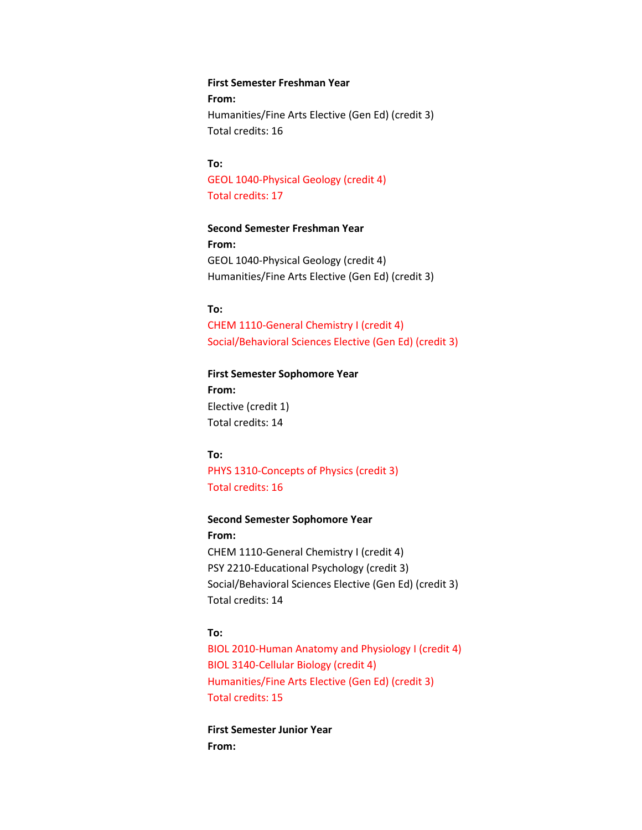**First Semester Freshman Year From:** Humanities/Fine Arts Elective (Gen Ed) (credit 3) Total credits: 16

**To:** GEOL 1040-Physical Geology (credit 4) Total credits: 17

**Second Semester Freshman Year From:** GEOL 1040-Physical Geology (credit 4) Humanities/Fine Arts Elective (Gen Ed) (credit 3)

# **To:**

CHEM 1110-General Chemistry I (credit 4) Social/Behavioral Sciences Elective (Gen Ed) (credit 3)

**First Semester Sophomore Year**

**From:** Elective (credit 1) Total credits: 14

#### **To:**

PHYS 1310-Concepts of Physics (credit 3) Total credits: 16

#### **Second Semester Sophomore Year**

**From:** CHEM 1110-General Chemistry I (credit 4) PSY 2210-Educational Psychology (credit 3) Social/Behavioral Sciences Elective (Gen Ed) (credit 3) Total credits: 14

#### **To:**

BIOL 2010-Human Anatomy and Physiology I (credit 4) BIOL 3140-Cellular Biology (credit 4) Humanities/Fine Arts Elective (Gen Ed) (credit 3) Total credits: 15

**First Semester Junior Year From:**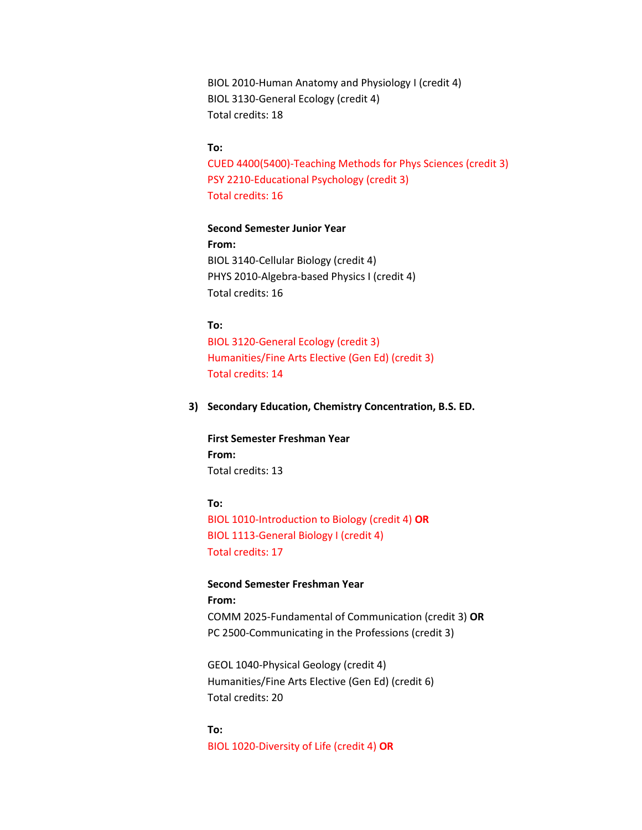BIOL 2010-Human Anatomy and Physiology I (credit 4) BIOL 3130-General Ecology (credit 4) Total credits: 18

#### **To:**

CUED 4400(5400)-Teaching Methods for Phys Sciences (credit 3) PSY 2210-Educational Psychology (credit 3) Total credits: 16

#### **Second Semester Junior Year**

**From:** BIOL 3140-Cellular Biology (credit 4) PHYS 2010-Algebra-based Physics I (credit 4) Total credits: 16

#### **To:**

BIOL 3120-General Ecology (credit 3) Humanities/Fine Arts Elective (Gen Ed) (credit 3) Total credits: 14

#### **3) Secondary Education, Chemistry Concentration, B.S. ED.**

**First Semester Freshman Year From:** Total credits: 13

#### **To:**

BIOL 1010-Introduction to Biology (credit 4) **OR** BIOL 1113-General Biology I (credit 4) Total credits: 17

**Second Semester Freshman Year From:** COMM 2025-Fundamental of Communication (credit 3) **OR** PC 2500-Communicating in the Professions (credit 3)

GEOL 1040-Physical Geology (credit 4) Humanities/Fine Arts Elective (Gen Ed) (credit 6) Total credits: 20

**To:** BIOL 1020-Diversity of Life (credit 4) **OR**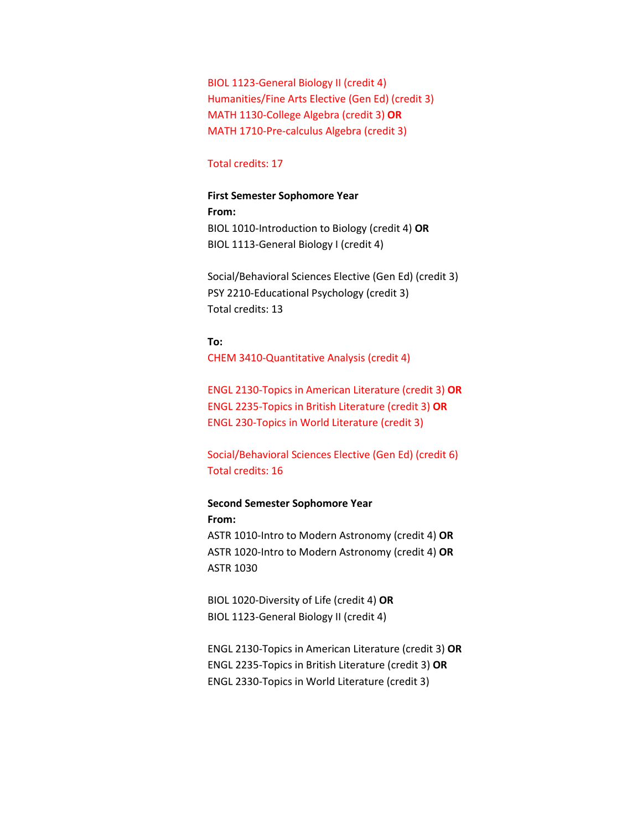BIOL 1123-General Biology II (credit 4) Humanities/Fine Arts Elective (Gen Ed) (credit 3) MATH 1130-College Algebra (credit 3) **OR** MATH 1710-Pre-calculus Algebra (credit 3)

#### Total credits: 17

#### **First Semester Sophomore Year**

**From:** BIOL 1010-Introduction to Biology (credit 4) **OR** BIOL 1113-General Biology I (credit 4)

Social/Behavioral Sciences Elective (Gen Ed) (credit 3) PSY 2210-Educational Psychology (credit 3) Total credits: 13

**To:** CHEM 3410-Quantitative Analysis (credit 4)

ENGL 2130-Topics in American Literature (credit 3) **OR** ENGL 2235-Topics in British Literature (credit 3) **OR** ENGL 230-Topics in World Literature (credit 3)

Social/Behavioral Sciences Elective (Gen Ed) (credit 6) Total credits: 16

# **Second Semester Sophomore Year From:**

ASTR 1010-Intro to Modern Astronomy (credit 4) **OR** ASTR 1020-Intro to Modern Astronomy (credit 4) **OR** ASTR 1030

BIOL 1020-Diversity of Life (credit 4) **OR** BIOL 1123-General Biology II (credit 4)

ENGL 2130-Topics in American Literature (credit 3) **OR** ENGL 2235-Topics in British Literature (credit 3) **OR** ENGL 2330-Topics in World Literature (credit 3)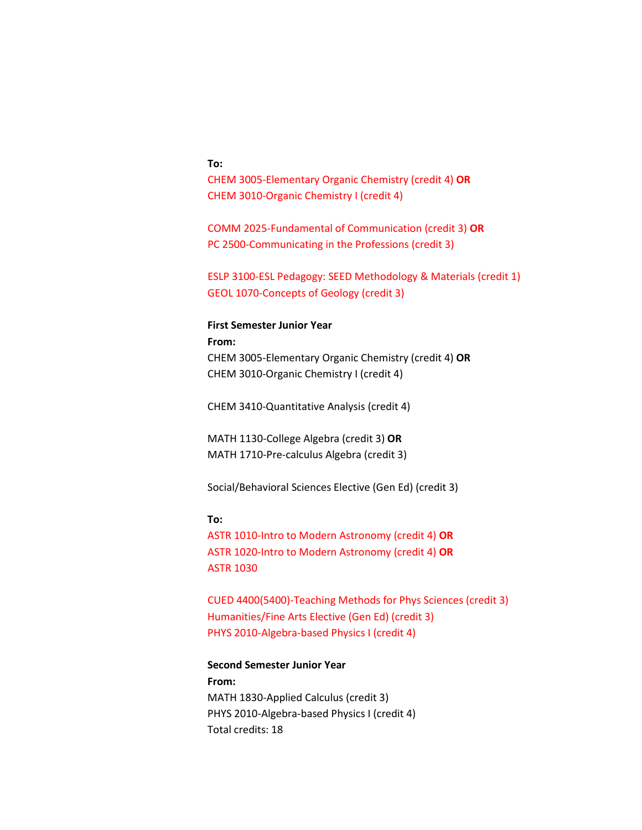#### **To:**

CHEM 3005-Elementary Organic Chemistry (credit 4) **OR** CHEM 3010-Organic Chemistry I (credit 4)

COMM 2025-Fundamental of Communication (credit 3) **OR** PC 2500-Communicating in the Professions (credit 3)

ESLP 3100-ESL Pedagogy: SEED Methodology & Materials (credit 1) GEOL 1070-Concepts of Geology (credit 3)

#### **First Semester Junior Year**

**From:** CHEM 3005-Elementary Organic Chemistry (credit 4) **OR** CHEM 3010-Organic Chemistry I (credit 4)

CHEM 3410-Quantitative Analysis (credit 4)

MATH 1130-College Algebra (credit 3) **OR** MATH 1710-Pre-calculus Algebra (credit 3)

Social/Behavioral Sciences Elective (Gen Ed) (credit 3)

#### **To:**

ASTR 1010-Intro to Modern Astronomy (credit 4) **OR** ASTR 1020-Intro to Modern Astronomy (credit 4) **OR** ASTR 1030

CUED 4400(5400)-Teaching Methods for Phys Sciences (credit 3) Humanities/Fine Arts Elective (Gen Ed) (credit 3) PHYS 2010-Algebra-based Physics I (credit 4)

### **Second Semester Junior Year**

**From:** MATH 1830-Applied Calculus (credit 3) PHYS 2010-Algebra-based Physics I (credit 4) Total credits: 18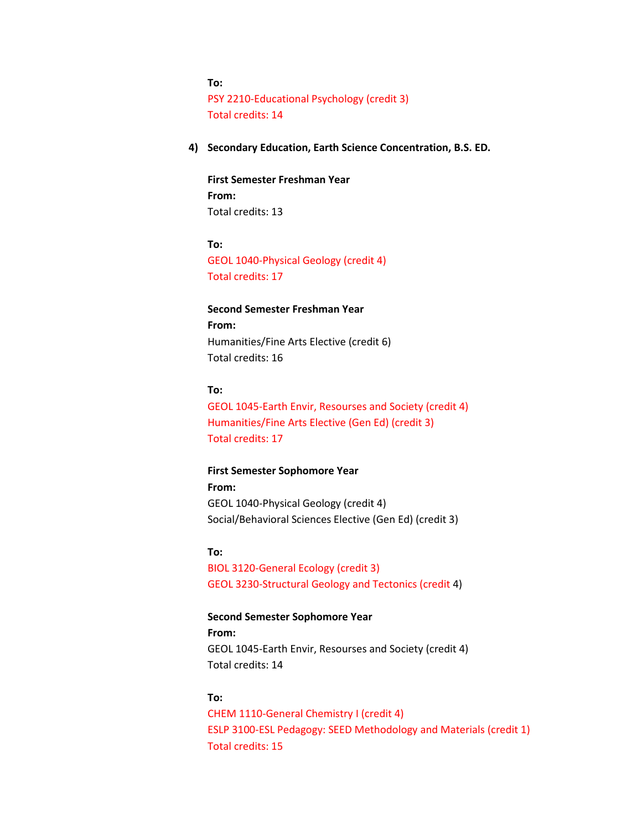**To:**

PSY 2210-Educational Psychology (credit 3) Total credits: 14

**4) Secondary Education, Earth Science Concentration, B.S. ED.**

**First Semester Freshman Year From:** Total credits: 13

**To:** GEOL 1040-Physical Geology (credit 4) Total credits: 17

# **Second Semester Freshman Year From:** Humanities/Fine Arts Elective (credit 6) Total credits: 16

#### **To:**

GEOL 1045-Earth Envir, Resourses and Society (credit 4) Humanities/Fine Arts Elective (Gen Ed) (credit 3) Total credits: 17

**First Semester Sophomore Year**

**From:** GEOL 1040-Physical Geology (credit 4) Social/Behavioral Sciences Elective (Gen Ed) (credit 3)

**To:**

BIOL 3120-General Ecology (credit 3) GEOL 3230-Structural Geology and Tectonics (credit 4)

**Second Semester Sophomore Year From:**  GEOL 1045-Earth Envir, Resourses and Society (credit 4) Total credits: 14

#### **To:**

CHEM 1110-General Chemistry I (credit 4) ESLP 3100-ESL Pedagogy: SEED Methodology and Materials (credit 1) Total credits: 15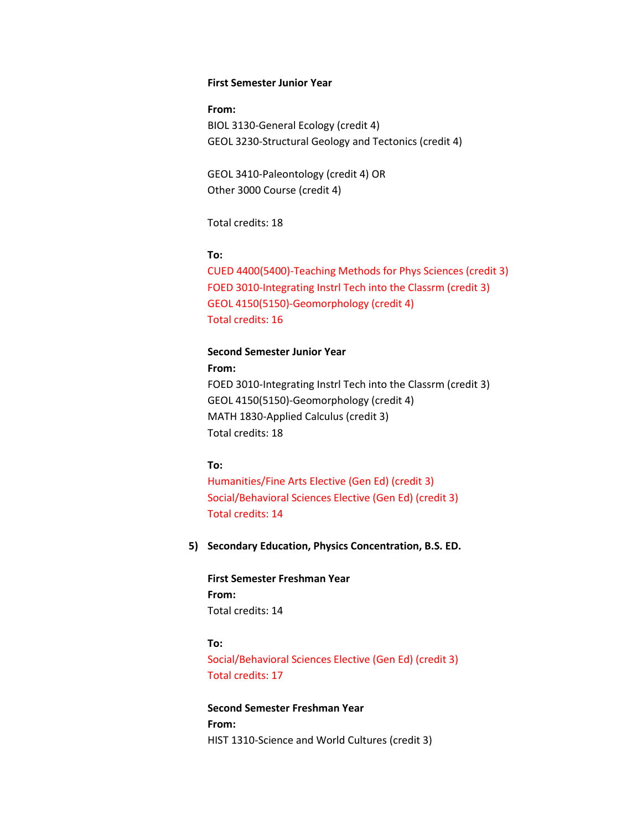#### **First Semester Junior Year**

**From:** BIOL 3130-General Ecology (credit 4) GEOL 3230-Structural Geology and Tectonics (credit 4)

GEOL 3410-Paleontology (credit 4) OR Other 3000 Course (credit 4)

Total credits: 18

#### **To:**

CUED 4400(5400)-Teaching Methods for Phys Sciences (credit 3) FOED 3010-Integrating Instrl Tech into the Classrm (credit 3) GEOL 4150(5150)-Geomorphology (credit 4) Total credits: 16

# **Second Semester Junior Year**

**From:**

FOED 3010-Integrating Instrl Tech into the Classrm (credit 3) GEOL 4150(5150)-Geomorphology (credit 4) MATH 1830-Applied Calculus (credit 3) Total credits: 18

#### **To:**

Humanities/Fine Arts Elective (Gen Ed) (credit 3) Social/Behavioral Sciences Elective (Gen Ed) (credit 3) Total credits: 14

**5) Secondary Education, Physics Concentration, B.S. ED.**

**First Semester Freshman Year From:** Total credits: 14

#### **To:**

Social/Behavioral Sciences Elective (Gen Ed) (credit 3) Total credits: 17

**Second Semester Freshman Year From:**  HIST 1310-Science and World Cultures (credit 3)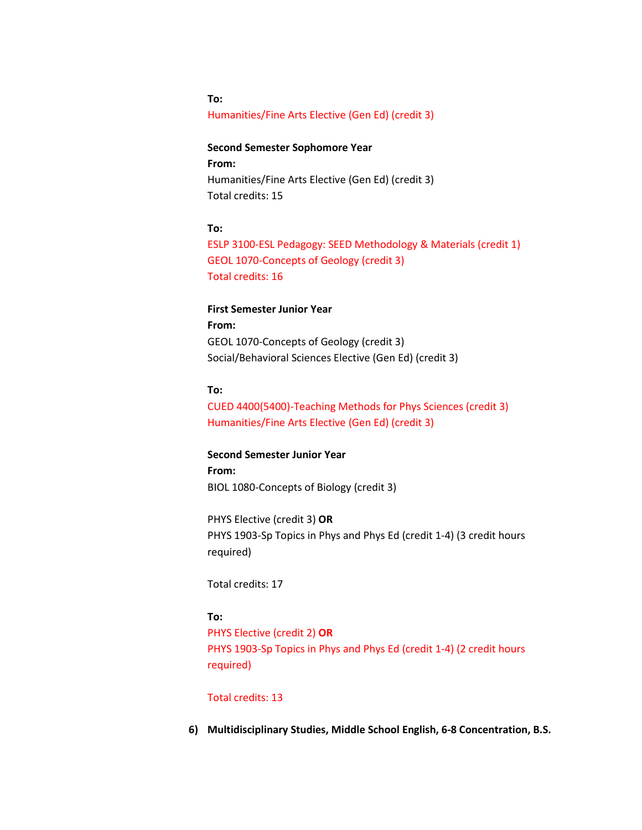# Humanities/Fine Arts Elective (Gen Ed) (credit 3)

# **Second Semester Sophomore Year From:** Humanities/Fine Arts Elective (Gen Ed) (credit 3) Total credits: 15

#### **To:**

**To:**

ESLP 3100-ESL Pedagogy: SEED Methodology & Materials (credit 1) GEOL 1070-Concepts of Geology (credit 3) Total credits: 16

# **First Semester Junior Year**

**From:** GEOL 1070-Concepts of Geology (credit 3) Social/Behavioral Sciences Elective (Gen Ed) (credit 3)

# **To:**

CUED 4400(5400)-Teaching Methods for Phys Sciences (credit 3) Humanities/Fine Arts Elective (Gen Ed) (credit 3)

**Second Semester Junior Year From:** BIOL 1080-Concepts of Biology (credit 3)

PHYS Elective (credit 3) **OR** PHYS 1903-Sp Topics in Phys and Phys Ed (credit 1-4) (3 credit hours required)

Total credits: 17

# **To:**

PHYS Elective (credit 2) **OR** PHYS 1903-Sp Topics in Phys and Phys Ed (credit 1-4) (2 credit hours required)

# Total credits: 13

**6) Multidisciplinary Studies, Middle School English, 6-8 Concentration, B.S.**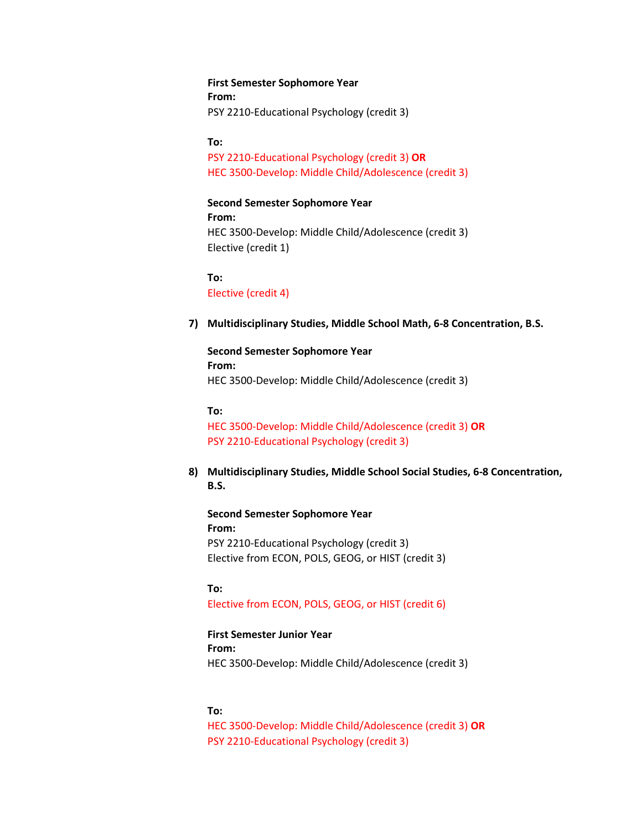**First Semester Sophomore Year From:**  PSY 2210-Educational Psychology (credit 3)

**To:**

PSY 2210-Educational Psychology (credit 3) **OR** HEC 3500-Develop: Middle Child/Adolescence (credit 3)

**Second Semester Sophomore Year**

**From:** HEC 3500-Develop: Middle Child/Adolescence (credit 3) Elective (credit 1)

**To:** Elective (credit 4)

**7) Multidisciplinary Studies, Middle School Math, 6-8 Concentration, B.S.**

**Second Semester Sophomore Year From:** HEC 3500-Develop: Middle Child/Adolescence (credit 3)

**To:**

HEC 3500-Develop: Middle Child/Adolescence (credit 3) **OR** PSY 2210-Educational Psychology (credit 3)

**8) Multidisciplinary Studies, Middle School Social Studies, 6-8 Concentration, B.S.**

**Second Semester Sophomore Year From:** PSY 2210-Educational Psychology (credit 3) Elective from ECON, POLS, GEOG, or HIST (credit 3)

**To:**  Elective from ECON, POLS, GEOG, or HIST (credit 6)

**First Semester Junior Year From:**  HEC 3500-Develop: Middle Child/Adolescence (credit 3)

**To:**

HEC 3500-Develop: Middle Child/Adolescence (credit 3) **OR** PSY 2210-Educational Psychology (credit 3)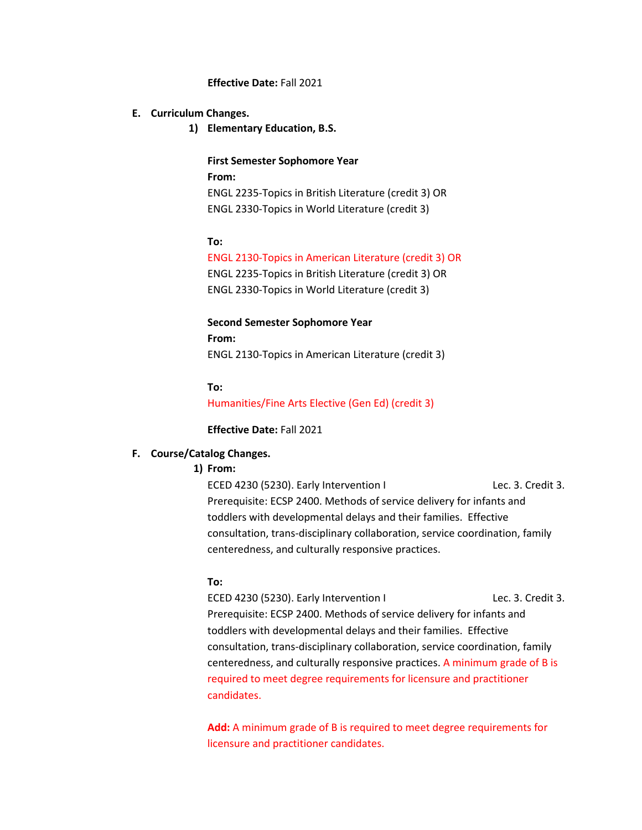#### **Effective Date:** Fall 2021

#### **E. Curriculum Changes.**

**1) Elementary Education, B.S.**

**First Semester Sophomore Year From:** ENGL 2235-Topics in British Literature (credit 3) OR ENGL 2330-Topics in World Literature (credit 3)

#### **To:**

ENGL 2130-Topics in American Literature (credit 3) OR ENGL 2235-Topics in British Literature (credit 3) OR ENGL 2330-Topics in World Literature (credit 3)

**Second Semester Sophomore Year From:** ENGL 2130-Topics in American Literature (credit 3)

**To:** Humanities/Fine Arts Elective (Gen Ed) (credit 3)

**Effective Date:** Fall 2021

#### **F. Course/Catalog Changes.**

#### **1) From:**

ECED 4230 (5230). Early Intervention I Lec. 3. Credit 3. Prerequisite: ECSP 2400. Methods of service delivery for infants and toddlers with developmental delays and their families. Effective consultation, trans-disciplinary collaboration, service coordination, family centeredness, and culturally responsive practices.

#### **To:**

ECED 4230 (5230). Early Intervention I Lec. 3. Credit 3. Prerequisite: ECSP 2400. Methods of service delivery for infants and toddlers with developmental delays and their families. Effective consultation, trans-disciplinary collaboration, service coordination, family centeredness, and culturally responsive practices. A minimum grade of B is required to meet degree requirements for licensure and practitioner candidates.

**Add:** A minimum grade of B is required to meet degree requirements for licensure and practitioner candidates.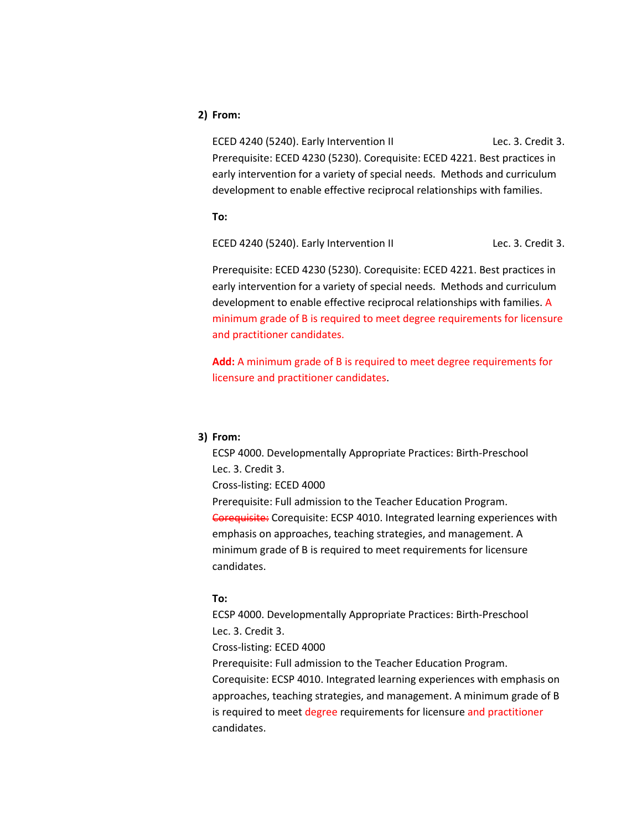# **2) From:**

ECED 4240 (5240). Early Intervention II Lec. 3. Credit 3. Prerequisite: ECED 4230 (5230). Corequisite: ECED 4221. Best practices in early intervention for a variety of special needs. Methods and curriculum development to enable effective reciprocal relationships with families.

**To:**

ECED 4240 (5240). Early Intervention II Lec. 3. Credit 3.

Prerequisite: ECED 4230 (5230). Corequisite: ECED 4221. Best practices in early intervention for a variety of special needs. Methods and curriculum development to enable effective reciprocal relationships with families. A minimum grade of B is required to meet degree requirements for licensure and practitioner candidates.

**Add:** A minimum grade of B is required to meet degree requirements for licensure and practitioner candidates.

#### **3) From:**

ECSP 4000. Developmentally Appropriate Practices: Birth-Preschool Lec. 3. Credit 3. Cross-listing: ECED 4000 Prerequisite: Full admission to the Teacher Education Program. Corequisite: Corequisite: ECSP 4010. Integrated learning experiences with emphasis on approaches, teaching strategies, and management. A

minimum grade of B is required to meet requirements for licensure candidates.

#### **To:**

ECSP 4000. Developmentally Appropriate Practices: Birth-Preschool Lec. 3. Credit 3. Cross-listing: ECED 4000 Prerequisite: Full admission to the Teacher Education Program. Corequisite: ECSP 4010. Integrated learning experiences with emphasis on approaches, teaching strategies, and management. A minimum grade of B is required to meet degree requirements for licensure and practitioner candidates.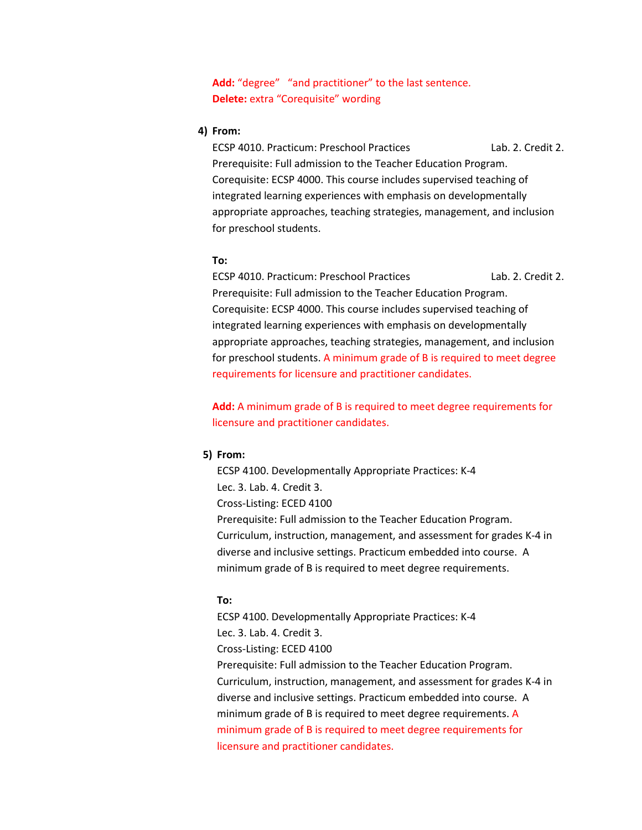Add: "degree" "and practitioner" to the last sentence. **Delete:** extra "Corequisite" wording

#### **4) From:**

ECSP 4010. Practicum: Preschool Practices Lab. 2. Credit 2. Prerequisite: Full admission to the Teacher Education Program. Corequisite: ECSP 4000. This course includes supervised teaching of integrated learning experiences with emphasis on developmentally appropriate approaches, teaching strategies, management, and inclusion for preschool students.

#### **To:**

ECSP 4010. Practicum: Preschool Practices Lab. 2. Credit 2. Prerequisite: Full admission to the Teacher Education Program. Corequisite: ECSP 4000. This course includes supervised teaching of integrated learning experiences with emphasis on developmentally appropriate approaches, teaching strategies, management, and inclusion for preschool students. A minimum grade of B is required to meet degree requirements for licensure and practitioner candidates.

**Add:** A minimum grade of B is required to meet degree requirements for licensure and practitioner candidates.

#### **5) From:**

ECSP 4100. Developmentally Appropriate Practices: K-4 Lec. 3. Lab. 4. Credit 3. Cross-Listing: ECED 4100 Prerequisite: Full admission to the Teacher Education Program. Curriculum, instruction, management, and assessment for grades K-4 in diverse and inclusive settings. Practicum embedded into course. A minimum grade of B is required to meet degree requirements.

#### **To:**

ECSP 4100. Developmentally Appropriate Practices: K-4 Lec. 3. Lab. 4. Credit 3. Cross-Listing: ECED 4100 Prerequisite: Full admission to the Teacher Education Program. Curriculum, instruction, management, and assessment for grades K-4 in diverse and inclusive settings. Practicum embedded into course. A minimum grade of B is required to meet degree requirements. A minimum grade of B is required to meet degree requirements for licensure and practitioner candidates.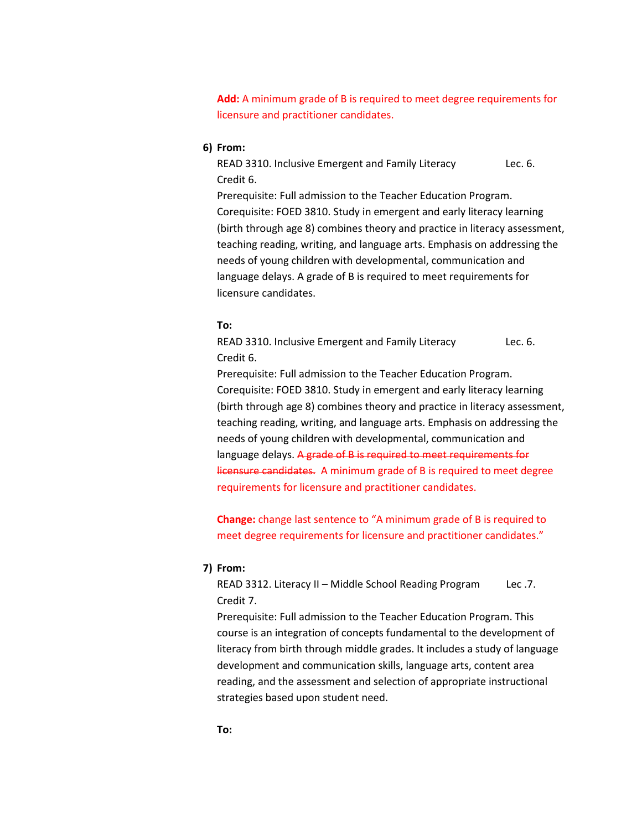**Add:** A minimum grade of B is required to meet degree requirements for licensure and practitioner candidates.

**6) From:**

READ 3310. Inclusive Emergent and Family Literacy Lec. 6. Credit 6.

Prerequisite: Full admission to the Teacher Education Program. Corequisite: FOED 3810. Study in emergent and early literacy learning (birth through age 8) combines theory and practice in literacy assessment, teaching reading, writing, and language arts. Emphasis on addressing the needs of young children with developmental, communication and language delays. A grade of B is required to meet requirements for licensure candidates.

#### **To:**

READ 3310. Inclusive Emergent and Family Literacy Lec. 6. Credit 6.

Prerequisite: Full admission to the Teacher Education Program. Corequisite: FOED 3810. Study in emergent and early literacy learning (birth through age 8) combines theory and practice in literacy assessment, teaching reading, writing, and language arts. Emphasis on addressing the needs of young children with developmental, communication and language delays. A grade of B is required to meet requirements for licensure candidates. A minimum grade of B is required to meet degree requirements for licensure and practitioner candidates.

**Change:** change last sentence to "A minimum grade of B is required to meet degree requirements for licensure and practitioner candidates."

#### **7) From:**

READ 3312. Literacy II – Middle School Reading Program Lec .7. Credit 7.

Prerequisite: Full admission to the Teacher Education Program. This course is an integration of concepts fundamental to the development of literacy from birth through middle grades. It includes a study of language development and communication skills, language arts, content area reading, and the assessment and selection of appropriate instructional strategies based upon student need.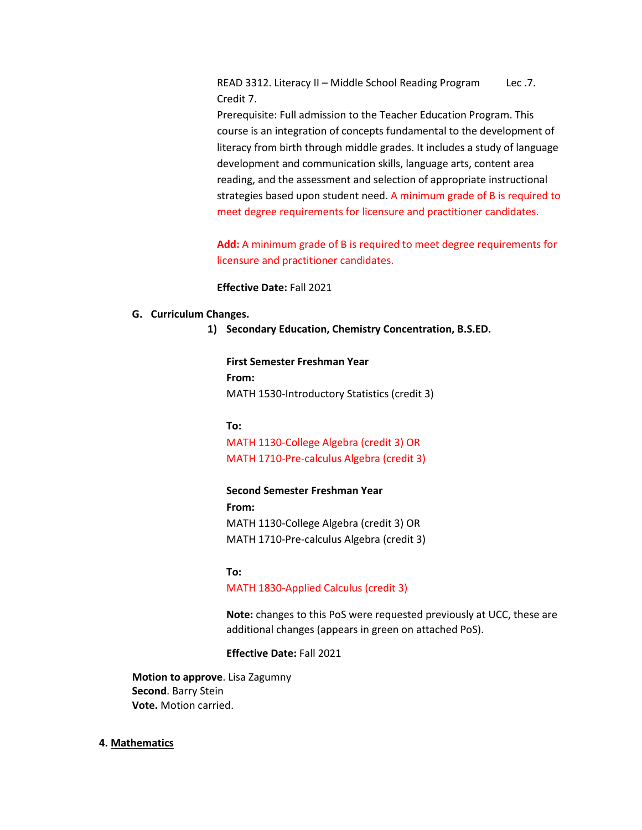READ 3312. Literacy II – Middle School Reading Program Lec .7. Credit 7.

Prerequisite: Full admission to the Teacher Education Program. This course is an integration of concepts fundamental to the development of literacy from birth through middle grades. It includes a study of language development and communication skills, language arts, content area reading, and the assessment and selection of appropriate instructional strategies based upon student need. A minimum grade of B is required to meet degree requirements for licensure and practitioner candidates.

**Add:** A minimum grade of B is required to meet degree requirements for licensure and practitioner candidates.

**Effective Date:** Fall 2021

#### **G. Curriculum Changes.**

**1) Secondary Education, Chemistry Concentration, B.S.ED.**

**First Semester Freshman Year From:** MATH 1530-Introductory Statistics (credit 3)

**To:** MATH 1130-College Algebra (credit 3) OR MATH 1710-Pre-calculus Algebra (credit 3)

#### **Second Semester Freshman Year**

**From:** MATH 1130-College Algebra (credit 3) OR MATH 1710-Pre-calculus Algebra (credit 3)

#### **To:**

#### MATH 1830-Applied Calculus (credit 3)

**Note:** changes to this PoS were requested previously at UCC, these are additional changes (appears in green on attached PoS).

**Effective Date:** Fall 2021

**Motion to approve**. Lisa Zagumny **Second**. Barry Stein **Vote.** Motion carried.

#### **4. Mathematics**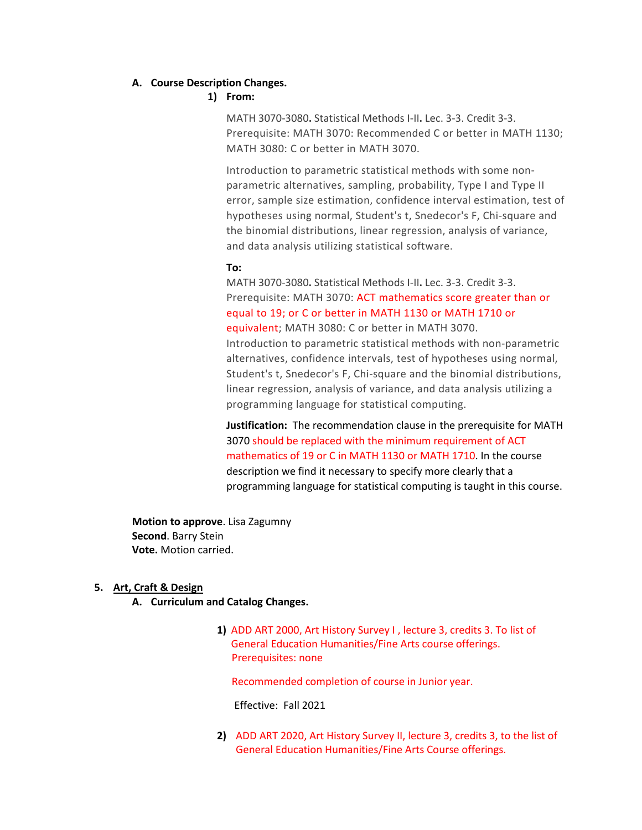#### **A. Course Description Changes.**

# **1) From:**

MATH 3070-3080**.** Statistical Methods I-II**.** Lec. 3-3. Credit 3-3. Prerequisite: MATH 3070: Recommended C or better in MATH 1130; MATH 3080: C or better in MATH 3070.

Introduction to parametric statistical methods with some nonparametric alternatives, sampling, probability, Type I and Type II error, sample size estimation, confidence interval estimation, test of hypotheses using normal, Student's t, Snedecor's F, Chi-square and the binomial distributions, linear regression, analysis of variance, and data analysis utilizing statistical software.

#### **To:**

MATH 3070-3080**.** Statistical Methods I-II**.** Lec. 3-3. Credit 3-3. Prerequisite: MATH 3070: ACT mathematics score greater than or equal to 19; or C or better in MATH 1130 or MATH 1710 or equivalent; MATH 3080: C or better in MATH 3070.

Introduction to parametric statistical methods with non-parametric alternatives, confidence intervals, test of hypotheses using normal, Student's t, Snedecor's F, Chi-square and the binomial distributions, linear regression, analysis of variance, and data analysis utilizing a programming language for statistical computing.

**Justification:** The recommendation clause in the prerequisite for MATH 3070 should be replaced with the minimum requirement of ACT mathematics of 19 or C in MATH 1130 or MATH 1710. In the course description we find it necessary to specify more clearly that a programming language for statistical computing is taught in this course.

**Motion to approve**. Lisa Zagumny **Second**. Barry Stein **Vote.** Motion carried.

#### **5. Art, Craft & Design**

- **A. Curriculum and Catalog Changes.** 
	- **1)** ADD ART 2000, Art History Survey I , lecture 3, credits 3. To list of General Education Humanities/Fine Arts course offerings. Prerequisites: none

Recommended completion of course in Junior year.

Effective: Fall 2021

**2)** ADD ART 2020, Art History Survey II, lecture 3, credits 3, to the list of General Education Humanities/Fine Arts Course offerings.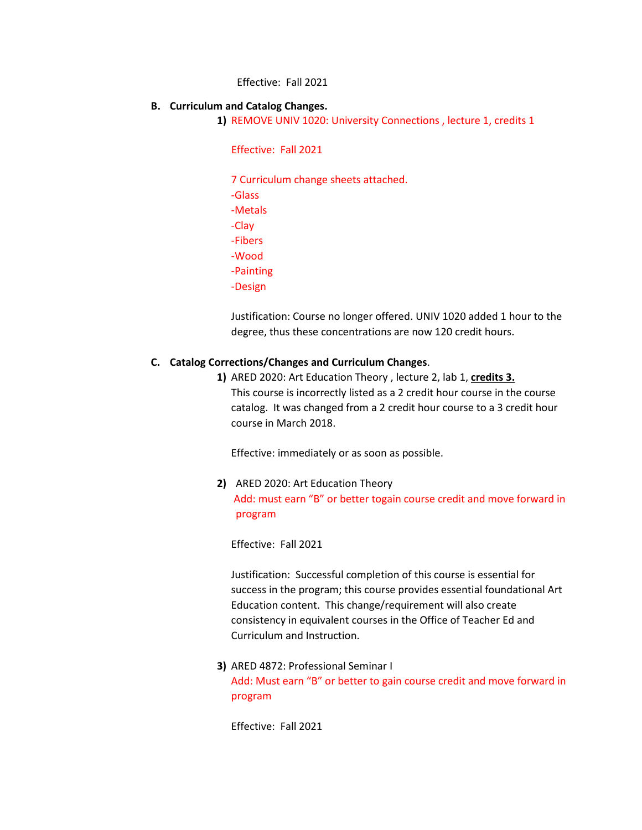Effective: Fall 2021

#### **B. Curriculum and Catalog Changes.**

**1)** REMOVE UNIV 1020: University Connections , lecture 1, credits 1

Effective: Fall 2021

7 Curriculum change sheets attached. -Glass -Metals -Clay -Fibers -Wood -Painting -Design

Justification: Course no longer offered. UNIV 1020 added 1 hour to the degree, thus these concentrations are now 120 credit hours.

# **C. Catalog Corrections/Changes and Curriculum Changes**.

**1)** ARED 2020: Art Education Theory , lecture 2, lab 1, **credits 3.** This course is incorrectly listed as a 2 credit hour course in the course catalog. It was changed from a 2 credit hour course to a 3 credit hour course in March 2018.

Effective: immediately or as soon as possible.

**2)** ARED 2020: Art Education Theory Add: must earn "B" or better togain course credit and move forward in program

Effective: Fall 2021

Justification: Successful completion of this course is essential for success in the program; this course provides essential foundational Art Education content. This change/requirement will also create consistency in equivalent courses in the Office of Teacher Ed and Curriculum and Instruction.

**3)** ARED 4872: Professional Seminar I Add: Must earn "B" or better to gain course credit and move forward in program

Effective: Fall 2021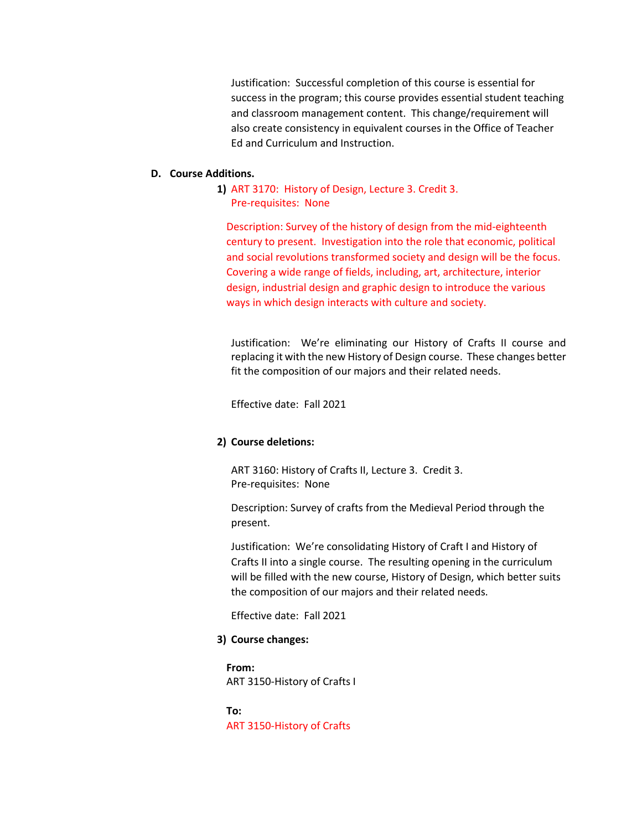Justification: Successful completion of this course is essential for success in the program; this course provides essential student teaching and classroom management content. This change/requirement will also create consistency in equivalent courses in the Office of Teacher Ed and Curriculum and Instruction.

#### **D. Course Additions.**

**1)** ART 3170: History of Design, Lecture 3. Credit 3. Pre-requisites: None

Description: Survey of the history of design from the mid-eighteenth century to present. Investigation into the role that economic, political and social revolutions transformed society and design will be the focus. Covering a wide range of fields, including, art, architecture, interior design, industrial design and graphic design to introduce the various ways in which design interacts with culture and society.

Justification: We're eliminating our History of Crafts II course and replacing it with the new History of Design course. These changes better fit the composition of our majors and their related needs.

Effective date: Fall 2021

#### **2) Course deletions:**

ART 3160: History of Crafts II, Lecture 3. Credit 3. Pre-requisites: None

Description: Survey of crafts from the Medieval Period through the present.

Justification: We're consolidating History of Craft I and History of Crafts II into a single course. The resulting opening in the curriculum will be filled with the new course, History of Design, which better suits the composition of our majors and their related needs.

Effective date: Fall 2021

# **3) Course changes:**

**From:**  ART 3150-History of Crafts I

**To:**  ART 3150-History of Crafts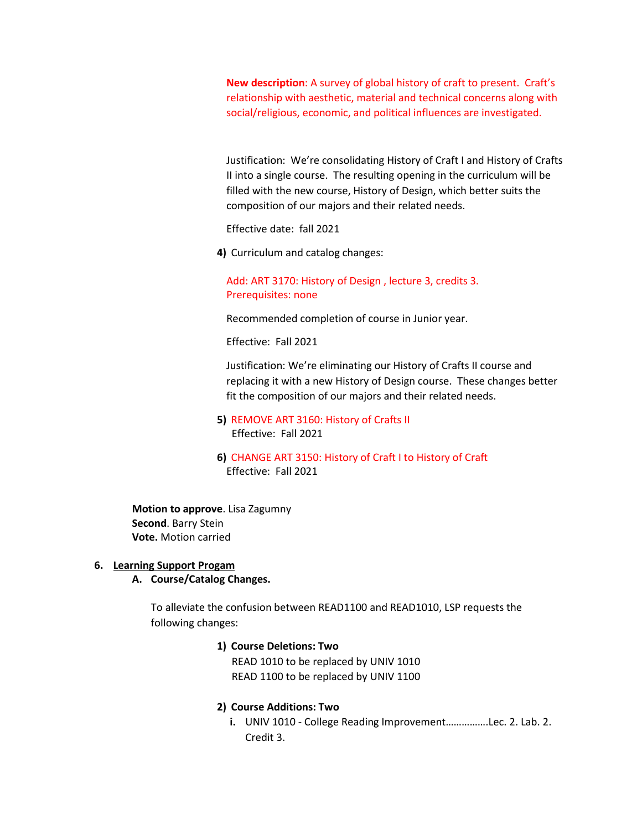**New description**: A survey of global history of craft to present. Craft's relationship with aesthetic, material and technical concerns along with social/religious, economic, and political influences are investigated.

Justification: We're consolidating History of Craft I and History of Crafts II into a single course. The resulting opening in the curriculum will be filled with the new course, History of Design, which better suits the composition of our majors and their related needs.

Effective date: fall 2021

**4)** Curriculum and catalog changes:

Add: ART 3170: History of Design , lecture 3, credits 3. Prerequisites: none

Recommended completion of course in Junior year.

Effective: Fall 2021

Justification: We're eliminating our History of Crafts II course and replacing it with a new History of Design course. These changes better fit the composition of our majors and their related needs.

- **5)** REMOVE ART 3160: History of Crafts II Effective: Fall 2021
- **6)** CHANGE ART 3150: History of Craft I to History of Craft Effective: Fall 2021

**Motion to approve**. Lisa Zagumny **Second**. Barry Stein **Vote.** Motion carried

#### **6. Learning Support Progam**

#### **A. Course/Catalog Changes.**

To alleviate the confusion between READ1100 and READ1010, LSP requests the following changes:

#### **1) Course Deletions: Two**

 READ 1010 to be replaced by UNIV 1010 READ 1100 to be replaced by UNIV 1100

#### **2) Course Additions: Two**

**i.** UNIV 1010 - College Reading Improvement…………….Lec. 2. Lab. 2. Credit 3.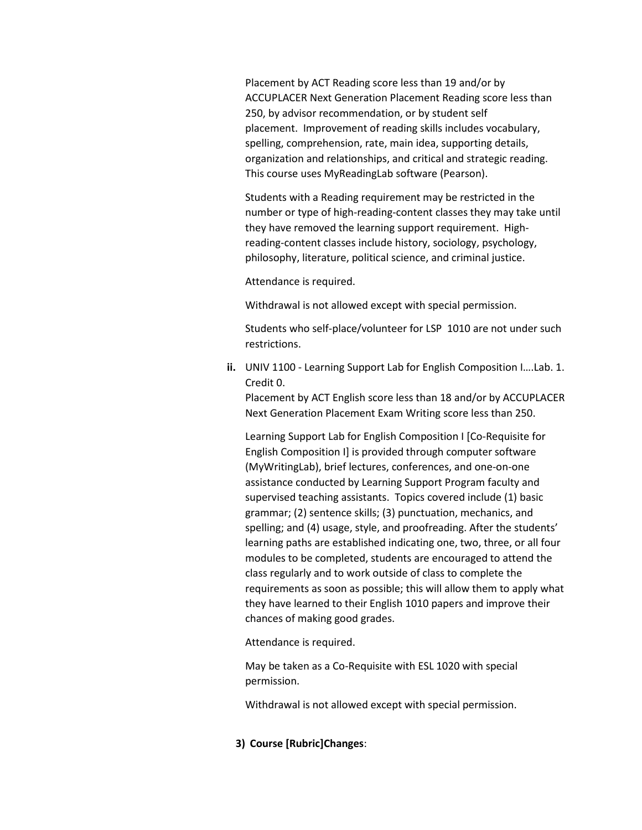Placement by ACT Reading score less than 19 and/or by ACCUPLACER Next Generation Placement Reading score less than 250, by advisor recommendation, or by student self placement. Improvement of reading skills includes vocabulary, spelling, comprehension, rate, main idea, supporting details, organization and relationships, and critical and strategic reading. This course uses MyReadingLab software (Pearson).

Students with a Reading requirement may be restricted in the number or type of high-reading-content classes they may take until they have removed the learning support requirement. Highreading-content classes include history, sociology, psychology, philosophy, literature, political science, and criminal justice.

Attendance is required.

Withdrawal is not allowed except with special permission.

Students who self-place/volunteer for LSP 1010 are not under such restrictions.

**ii.** UNIV 1100 - Learning Support Lab for English Composition I….Lab. 1. Credit 0.

Placement by ACT English score less than 18 and/or by ACCUPLACER Next Generation Placement Exam Writing score less than 250.

Learning Support Lab for English Composition I [Co-Requisite for English Composition I] is provided through computer software (MyWritingLab), brief lectures, conferences, and one-on-one assistance conducted by Learning Support Program faculty and supervised teaching assistants. Topics covered include (1) basic grammar; (2) sentence skills; (3) punctuation, mechanics, and spelling; and (4) usage, style, and proofreading. After the students' learning paths are established indicating one, two, three, or all four modules to be completed, students are encouraged to attend the class regularly and to work outside of class to complete the requirements as soon as possible; this will allow them to apply what they have learned to their English 1010 papers and improve their chances of making good grades.

Attendance is required.

May be taken as a Co-Requisite with ESL 1020 with special permission.

Withdrawal is not allowed except with special permission.

**3) Course [Rubric]Changes**: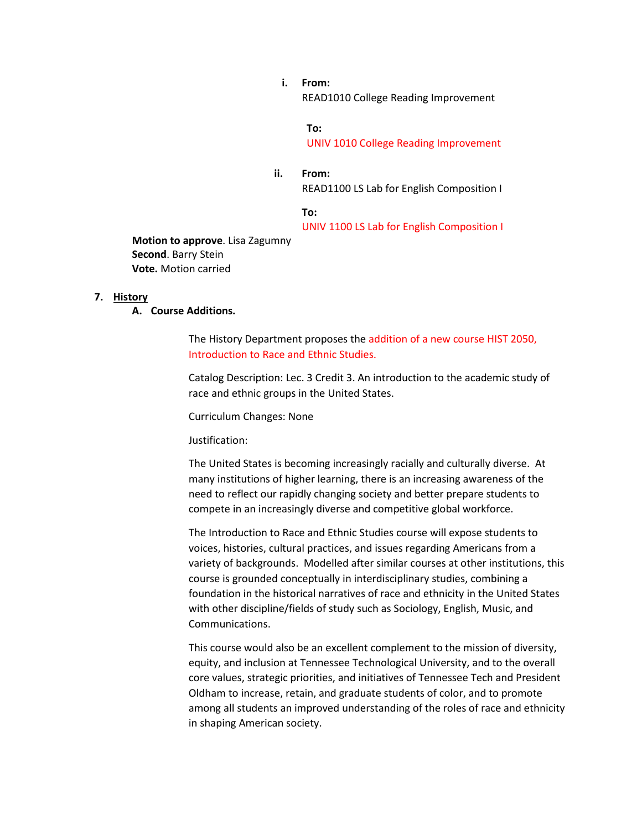**i. From:** READ1010 College Reading Improvement

#### **To:**

UNIV 1010 College Reading Improvement

**ii. From:** READ1100 LS Lab for English Composition I

**To:**

UNIV 1100 LS Lab for English Composition I

**Motion to approve**. Lisa Zagumny **Second**. Barry Stein **Vote.** Motion carried

#### **7. History**

**A. Course Additions.** 

The History Department proposes the addition of a new course HIST 2050, Introduction to Race and Ethnic Studies.

Catalog Description: Lec. 3 Credit 3. An introduction to the academic study of race and ethnic groups in the United States.

Curriculum Changes: None

Justification:

The United States is becoming increasingly racially and culturally diverse. At many institutions of higher learning, there is an increasing awareness of the need to reflect our rapidly changing society and better prepare students to compete in an increasingly diverse and competitive global workforce.

The Introduction to Race and Ethnic Studies course will expose students to voices, histories, cultural practices, and issues regarding Americans from a variety of backgrounds. Modelled after similar courses at other institutions, this course is grounded conceptually in interdisciplinary studies, combining a foundation in the historical narratives of race and ethnicity in the United States with other discipline/fields of study such as Sociology, English, Music, and Communications.

This course would also be an excellent complement to the mission of diversity, equity, and inclusion at Tennessee Technological University, and to the overall core values, strategic priorities, and initiatives of Tennessee Tech and President Oldham to increase, retain, and graduate students of color, and to promote among all students an improved understanding of the roles of race and ethnicity in shaping American society.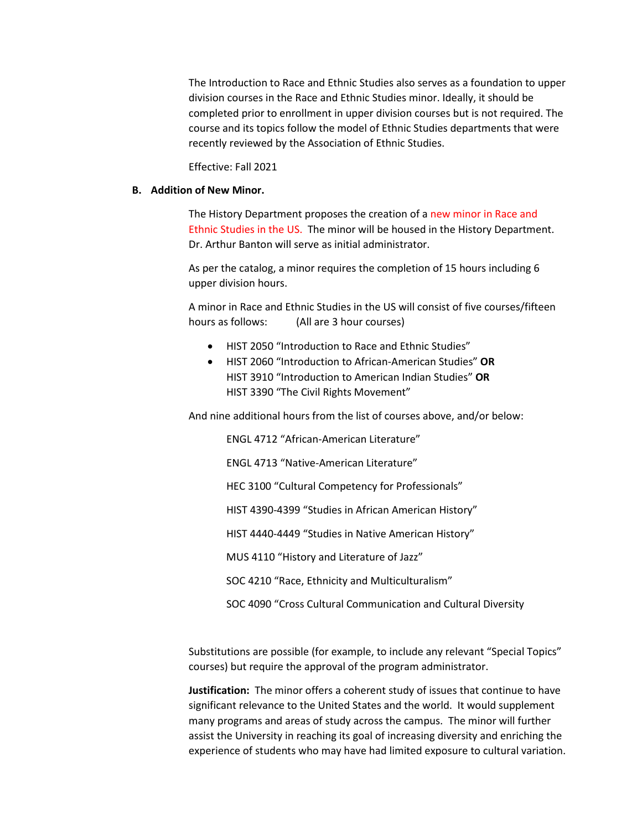The Introduction to Race and Ethnic Studies also serves as a foundation to upper division courses in the Race and Ethnic Studies minor. Ideally, it should be completed prior to enrollment in upper division courses but is not required. The course and its topics follow the model of Ethnic Studies departments that were recently reviewed by the Association of Ethnic Studies.

Effective: Fall 2021

#### **B. Addition of New Minor.**

The History Department proposes the creation of a new minor in Race and Ethnic Studies in the US. The minor will be housed in the History Department. Dr. Arthur Banton will serve as initial administrator.

As per the catalog, a minor requires the completion of 15 hours including 6 upper division hours.

A minor in Race and Ethnic Studies in the US will consist of five courses/fifteen hours as follows: (All are 3 hour courses)

- HIST 2050 "Introduction to Race and Ethnic Studies"
- HIST 2060 "Introduction to African-American Studies" **OR** HIST 3910 "Introduction to American Indian Studies" **OR** HIST 3390 "The Civil Rights Movement"

And nine additional hours from the list of courses above, and/or below:

ENGL 4712 "African-American Literature"

ENGL 4713 "Native-American Literature"

HEC 3100 "Cultural Competency for Professionals"

HIST 4390-4399 "Studies in African American History"

HIST 4440-4449 "Studies in Native American History"

MUS 4110 "History and Literature of Jazz"

SOC 4210 "Race, Ethnicity and Multiculturalism"

SOC 4090 "Cross Cultural Communication and Cultural Diversity

Substitutions are possible (for example, to include any relevant "Special Topics" courses) but require the approval of the program administrator.

**Justification:** The minor offers a coherent study of issues that continue to have significant relevance to the United States and the world. It would supplement many programs and areas of study across the campus. The minor will further assist the University in reaching its goal of increasing diversity and enriching the experience of students who may have had limited exposure to cultural variation.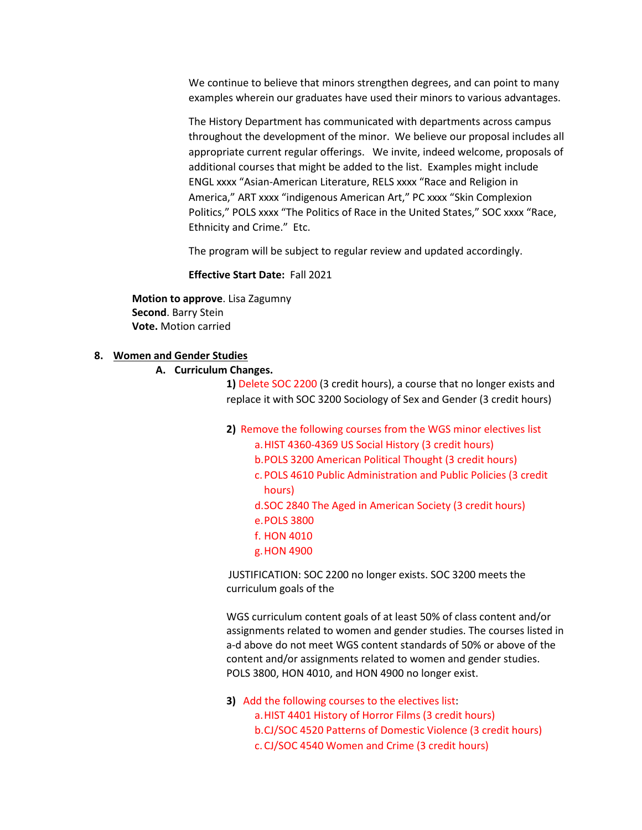We continue to believe that minors strengthen degrees, and can point to many examples wherein our graduates have used their minors to various advantages.

The History Department has communicated with departments across campus throughout the development of the minor. We believe our proposal includes all appropriate current regular offerings. We invite, indeed welcome, proposals of additional courses that might be added to the list. Examples might include ENGL xxxx "Asian-American Literature, RELS xxxx "Race and Religion in America," ART xxxx "indigenous American Art," PC xxxx "Skin Complexion Politics," POLS xxxx "The Politics of Race in the United States," SOC xxxx "Race, Ethnicity and Crime." Etc.

The program will be subject to regular review and updated accordingly.

**Effective Start Date:** Fall 2021

**Motion to approve**. Lisa Zagumny **Second**. Barry Stein **Vote.** Motion carried

#### **8. Women and Gender Studies**

#### **A. Curriculum Changes.**

**1)** Delete SOC 2200 (3 credit hours), a course that no longer exists and replace it with SOC 3200 Sociology of Sex and Gender (3 credit hours)

- **2)** Remove the following courses from the WGS minor electives list
	- a.HIST 4360-4369 US Social History (3 credit hours)
	- b.POLS 3200 American Political Thought (3 credit hours)
	- c. POLS 4610 Public Administration and Public Policies (3 credit hours)
	- d.SOC 2840 The Aged in American Society (3 credit hours)
	- e.POLS 3800
	- f. HON 4010
	- g.HON 4900

JUSTIFICATION: SOC 2200 no longer exists. SOC 3200 meets the curriculum goals of the

WGS curriculum content goals of at least 50% of class content and/or assignments related to women and gender studies. The courses listed in a-d above do not meet WGS content standards of 50% or above of the content and/or assignments related to women and gender studies. POLS 3800, HON 4010, and HON 4900 no longer exist.

**3)** Add the following courses to the electives list: a.HIST 4401 History of Horror Films (3 credit hours) b.CJ/SOC 4520 Patterns of Domestic Violence (3 credit hours) c. CJ/SOC 4540 Women and Crime (3 credit hours)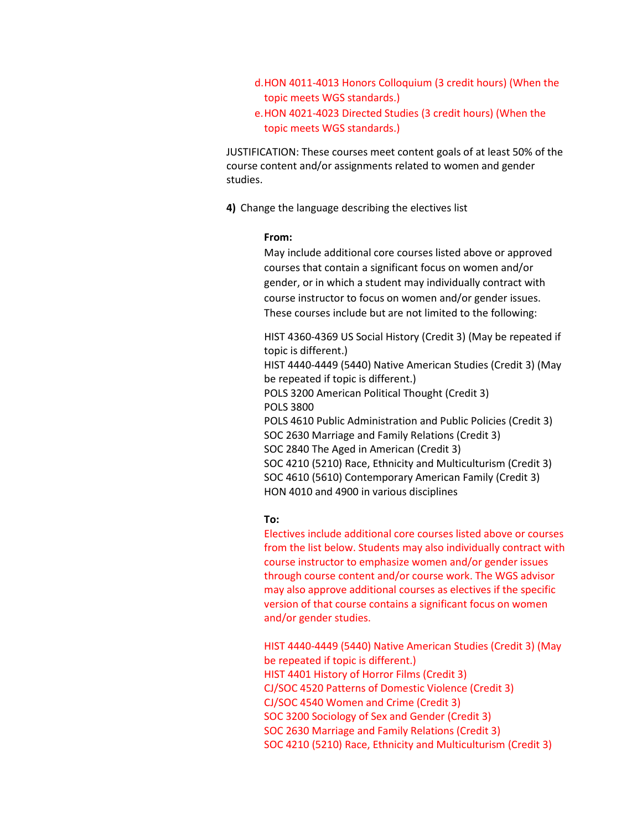d.HON 4011-4013 Honors Colloquium (3 credit hours) (When the topic meets WGS standards.)

e.HON 4021-4023 Directed Studies (3 credit hours) (When the topic meets WGS standards.)

JUSTIFICATION: These courses meet content goals of at least 50% of the course content and/or assignments related to women and gender studies.

**4)** Change the language describing the electives list

#### **From:**

May include additional core courses listed above or approved courses that contain a significant focus on women and/or gender, or in which a student may individually contract with course instructor to focus on women and/or gender issues. These courses include but are not limited to the following:

HIST 4360-4369 US Social History (Credit 3) (May be repeated if topic is different.) HIST 4440-4449 (5440) Native American Studies (Credit 3) (May be repeated if topic is different.) POLS 3200 American Political Thought (Credit 3) POLS 3800 POLS 4610 Public Administration and Public Policies (Credit 3) SOC 2630 Marriage and Family Relations (Credit 3) SOC 2840 The Aged in American (Credit 3) SOC 4210 (5210) Race, Ethnicity and Multiculturism (Credit 3) SOC 4610 (5610) Contemporary American Family (Credit 3) HON 4010 and 4900 in various disciplines

# **To:**

Electives include additional core courses listed above or courses from the list below. Students may also individually contract with course instructor to emphasize women and/or gender issues through course content and/or course work. The WGS advisor may also approve additional courses as electives if the specific version of that course contains a significant focus on women and/or gender studies.

HIST 4440-4449 (5440) Native American Studies (Credit 3) (May be repeated if topic is different.) HIST 4401 History of Horror Films (Credit 3) CJ/SOC 4520 Patterns of Domestic Violence (Credit 3) CJ/SOC 4540 Women and Crime (Credit 3) SOC 3200 Sociology of Sex and Gender (Credit 3) SOC 2630 Marriage and Family Relations (Credit 3) SOC 4210 (5210) Race, Ethnicity and Multiculturism (Credit 3)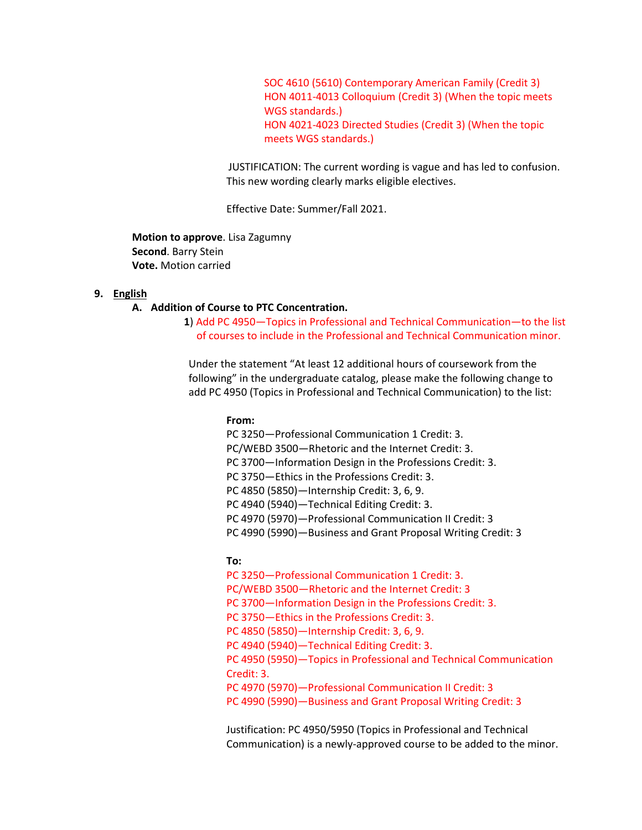SOC 4610 (5610) Contemporary American Family (Credit 3) HON 4011-4013 Colloquium (Credit 3) (When the topic meets WGS standards.) HON 4021-4023 Directed Studies (Credit 3) (When the topic meets WGS standards.)

JUSTIFICATION: The current wording is vague and has led to confusion. This new wording clearly marks eligible electives.

Effective Date: Summer/Fall 2021.

**Motion to approve**. Lisa Zagumny **Second**. Barry Stein **Vote.** Motion carried

#### **9. English**

#### **A. Addition of Course to PTC Concentration.**

**1**) Add PC 4950—Topics in Professional and Technical Communication—to the list of courses to include in the Professional and Technical Communication minor.

Under the statement "At least 12 additional hours of coursework from the following" in the undergraduate catalog, please make the following change to add PC 4950 (Topics in Professional and Technical Communication) to the list:

#### **From:**

PC 3250—Professional Communication 1 Credit: 3. PC/WEBD 3500—Rhetoric and the Internet Credit: 3. PC 3700—Information Design in the Professions Credit: 3. PC 3750—Ethics in the Professions Credit: 3. PC 4850 (5850)—Internship Credit: 3, 6, 9. PC 4940 (5940)—Technical Editing Credit: 3. PC 4970 (5970)—Professional Communication II Credit: 3 PC 4990 (5990)—Business and Grant Proposal Writing Credit: 3

#### **To:**

PC 3250—Professional Communication 1 Credit: 3. PC/WEBD 3500—Rhetoric and the Internet Credit: 3 PC 3700—Information Design in the Professions Credit: 3. PC 3750—Ethics in the Professions Credit: 3. PC 4850 (5850)—Internship Credit: 3, 6, 9. PC 4940 (5940)—Technical Editing Credit: 3. PC 4950 (5950)—Topics in Professional and Technical Communication Credit: 3. PC 4970 (5970)—Professional Communication II Credit: 3 PC 4990 (5990)—Business and Grant Proposal Writing Credit: 3

Justification: PC 4950/5950 (Topics in Professional and Technical Communication) is a newly-approved course to be added to the minor.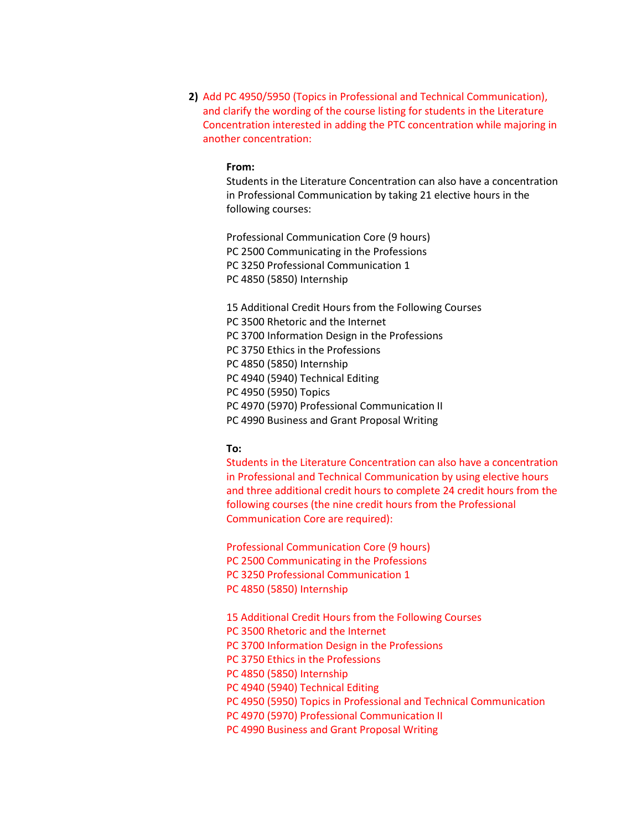**2)** Add PC 4950/5950 (Topics in Professional and Technical Communication), and clarify the wording of the course listing for students in the Literature Concentration interested in adding the PTC concentration while majoring in another concentration:

#### **From:**

Students in the Literature Concentration can also have a concentration in Professional Communication by taking 21 elective hours in the following courses:

Professional Communication Core (9 hours) PC 2500 Communicating in the Professions PC 3250 Professional Communication 1 PC 4850 (5850) Internship

15 Additional Credit Hours from the Following Courses PC 3500 Rhetoric and the Internet PC 3700 Information Design in the Professions PC 3750 Ethics in the Professions PC 4850 (5850) Internship PC 4940 (5940) Technical Editing PC 4950 (5950) Topics PC 4970 (5970) Professional Communication II PC 4990 Business and Grant Proposal Writing

#### **To:**

Students in the Literature Concentration can also have a concentration in Professional and Technical Communication by using elective hours and three additional credit hours to complete 24 credit hours from the following courses (the nine credit hours from the Professional Communication Core are required):

Professional Communication Core (9 hours) PC 2500 Communicating in the Professions PC 3250 Professional Communication 1 PC 4850 (5850) Internship

15 Additional Credit Hours from the Following Courses PC 3500 Rhetoric and the Internet PC 3700 Information Design in the Professions PC 3750 Ethics in the Professions PC 4850 (5850) Internship PC 4940 (5940) Technical Editing PC 4950 (5950) Topics in Professional and Technical Communication PC 4970 (5970) Professional Communication II PC 4990 Business and Grant Proposal Writing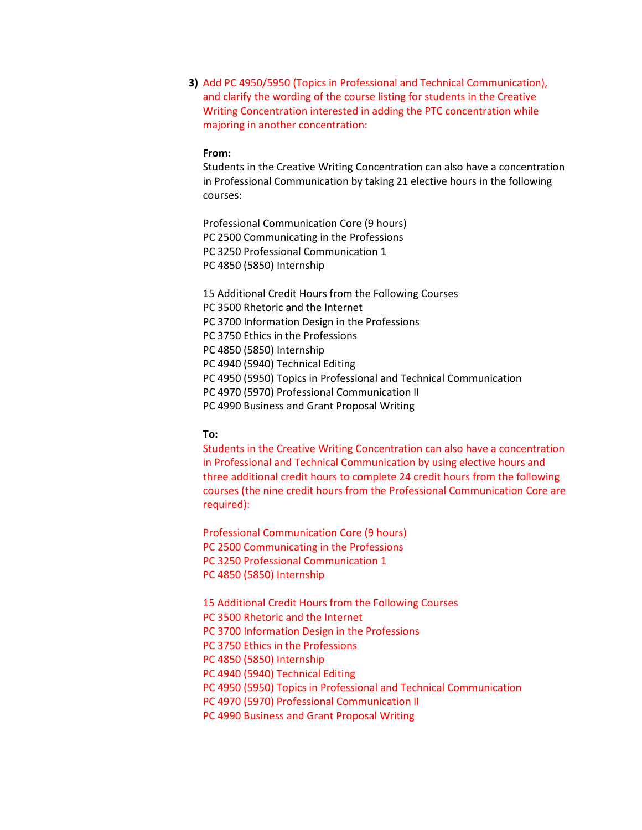**3)** Add PC 4950/5950 (Topics in Professional and Technical Communication), and clarify the wording of the course listing for students in the Creative Writing Concentration interested in adding the PTC concentration while majoring in another concentration:

#### **From:**

Students in the Creative Writing Concentration can also have a concentration in Professional Communication by taking 21 elective hours in the following courses:

Professional Communication Core (9 hours) PC 2500 Communicating in the Professions PC 3250 Professional Communication 1 PC 4850 (5850) Internship

15 Additional Credit Hours from the Following Courses PC 3500 Rhetoric and the Internet

PC 3700 Information Design in the Professions

PC 3750 Ethics in the Professions

PC 4850 (5850) Internship

PC 4940 (5940) Technical Editing

PC 4950 (5950) Topics in Professional and Technical Communication

PC 4970 (5970) Professional Communication II

PC 4990 Business and Grant Proposal Writing

#### **To:**

Students in the Creative Writing Concentration can also have a concentration in Professional and Technical Communication by using elective hours and three additional credit hours to complete 24 credit hours from the following courses (the nine credit hours from the Professional Communication Core are required):

Professional Communication Core (9 hours) PC 2500 Communicating in the Professions PC 3250 Professional Communication 1 PC 4850 (5850) Internship

15 Additional Credit Hours from the Following Courses

PC 3500 Rhetoric and the Internet

PC 3700 Information Design in the Professions

PC 3750 Ethics in the Professions

PC 4850 (5850) Internship

PC 4940 (5940) Technical Editing

PC 4950 (5950) Topics in Professional and Technical Communication

PC 4970 (5970) Professional Communication II

PC 4990 Business and Grant Proposal Writing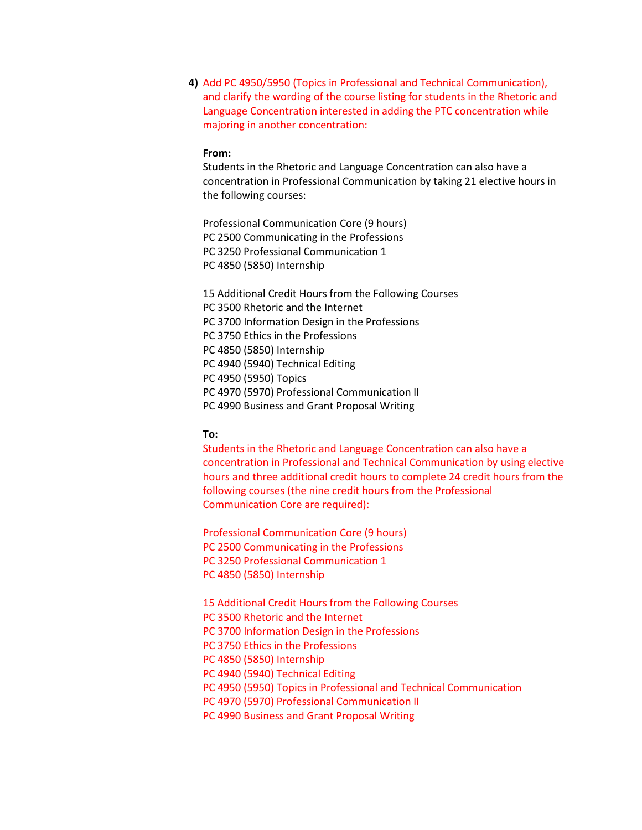**4)** Add PC 4950/5950 (Topics in Professional and Technical Communication), and clarify the wording of the course listing for students in the Rhetoric and Language Concentration interested in adding the PTC concentration while majoring in another concentration:

#### **From:**

Students in the Rhetoric and Language Concentration can also have a concentration in Professional Communication by taking 21 elective hours in the following courses:

Professional Communication Core (9 hours) PC 2500 Communicating in the Professions PC 3250 Professional Communication 1 PC 4850 (5850) Internship

15 Additional Credit Hours from the Following Courses PC 3500 Rhetoric and the Internet PC 3700 Information Design in the Professions PC 3750 Ethics in the Professions PC 4850 (5850) Internship PC 4940 (5940) Technical Editing PC 4950 (5950) Topics PC 4970 (5970) Professional Communication II PC 4990 Business and Grant Proposal Writing

#### **To:**

Students in the Rhetoric and Language Concentration can also have a concentration in Professional and Technical Communication by using elective hours and three additional credit hours to complete 24 credit hours from the following courses (the nine credit hours from the Professional Communication Core are required):

Professional Communication Core (9 hours) PC 2500 Communicating in the Professions PC 3250 Professional Communication 1 PC 4850 (5850) Internship

15 Additional Credit Hours from the Following Courses

PC 3500 Rhetoric and the Internet

PC 3700 Information Design in the Professions

PC 3750 Ethics in the Professions

PC 4850 (5850) Internship

PC 4940 (5940) Technical Editing

PC 4950 (5950) Topics in Professional and Technical Communication

PC 4970 (5970) Professional Communication II

PC 4990 Business and Grant Proposal Writing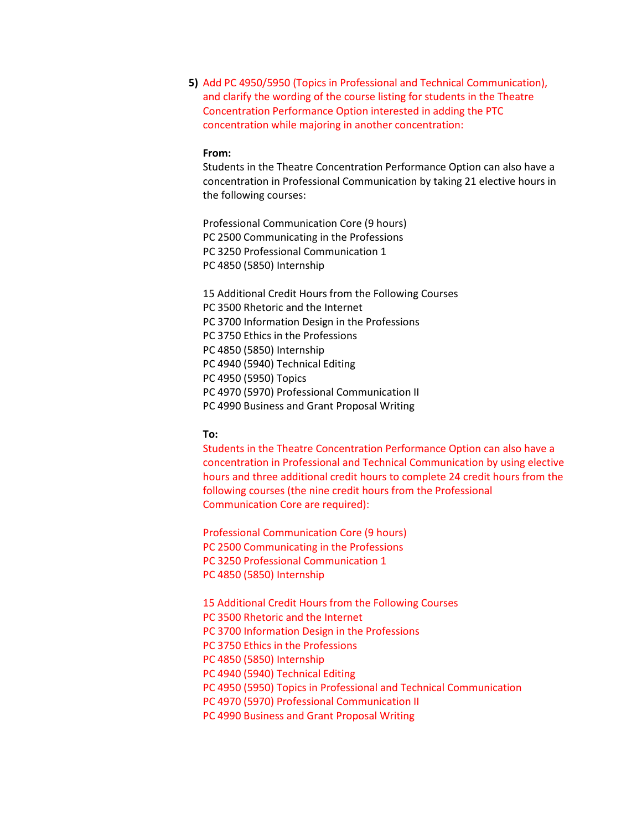**5)** Add PC 4950/5950 (Topics in Professional and Technical Communication), and clarify the wording of the course listing for students in the Theatre Concentration Performance Option interested in adding the PTC concentration while majoring in another concentration:

#### **From:**

Students in the Theatre Concentration Performance Option can also have a concentration in Professional Communication by taking 21 elective hours in the following courses:

Professional Communication Core (9 hours) PC 2500 Communicating in the Professions PC 3250 Professional Communication 1 PC 4850 (5850) Internship

15 Additional Credit Hours from the Following Courses PC 3500 Rhetoric and the Internet PC 3700 Information Design in the Professions PC 3750 Ethics in the Professions PC 4850 (5850) Internship PC 4940 (5940) Technical Editing PC 4950 (5950) Topics PC 4970 (5970) Professional Communication II PC 4990 Business and Grant Proposal Writing

#### **To:**

Students in the Theatre Concentration Performance Option can also have a concentration in Professional and Technical Communication by using elective hours and three additional credit hours to complete 24 credit hours from the following courses (the nine credit hours from the Professional Communication Core are required):

Professional Communication Core (9 hours) PC 2500 Communicating in the Professions PC 3250 Professional Communication 1 PC 4850 (5850) Internship

15 Additional Credit Hours from the Following Courses

PC 3500 Rhetoric and the Internet

PC 3700 Information Design in the Professions

PC 3750 Ethics in the Professions

PC 4850 (5850) Internship

PC 4940 (5940) Technical Editing

PC 4950 (5950) Topics in Professional and Technical Communication

PC 4970 (5970) Professional Communication II

PC 4990 Business and Grant Proposal Writing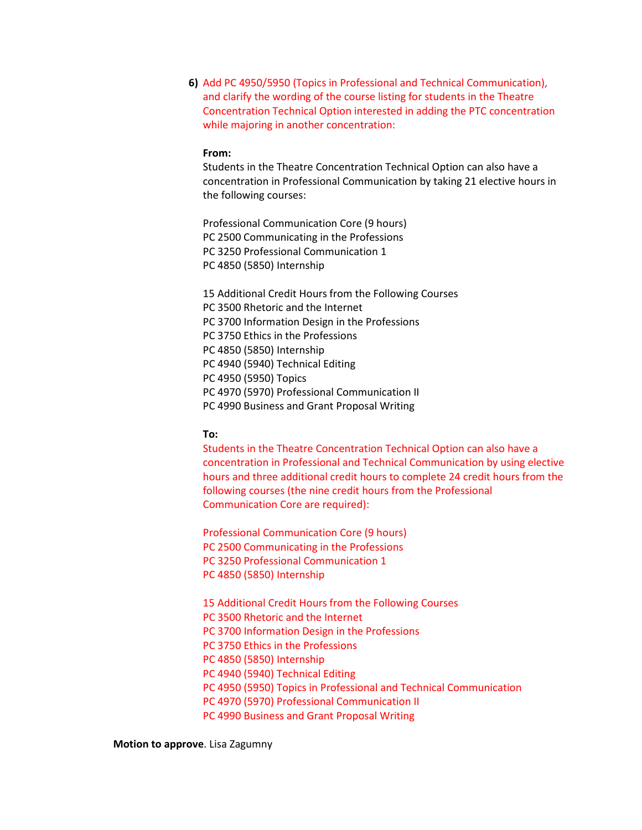**6)** Add PC 4950/5950 (Topics in Professional and Technical Communication), and clarify the wording of the course listing for students in the Theatre Concentration Technical Option interested in adding the PTC concentration while majoring in another concentration:

#### **From:**

Students in the Theatre Concentration Technical Option can also have a concentration in Professional Communication by taking 21 elective hours in the following courses:

Professional Communication Core (9 hours) PC 2500 Communicating in the Professions PC 3250 Professional Communication 1 PC 4850 (5850) Internship

15 Additional Credit Hours from the Following Courses PC 3500 Rhetoric and the Internet PC 3700 Information Design in the Professions PC 3750 Ethics in the Professions PC 4850 (5850) Internship PC 4940 (5940) Technical Editing PC 4950 (5950) Topics PC 4970 (5970) Professional Communication II PC 4990 Business and Grant Proposal Writing

#### **To:**

Students in the Theatre Concentration Technical Option can also have a concentration in Professional and Technical Communication by using elective hours and three additional credit hours to complete 24 credit hours from the following courses (the nine credit hours from the Professional Communication Core are required):

Professional Communication Core (9 hours) PC 2500 Communicating in the Professions PC 3250 Professional Communication 1 PC 4850 (5850) Internship

15 Additional Credit Hours from the Following Courses PC 3500 Rhetoric and the Internet PC 3700 Information Design in the Professions PC 3750 Ethics in the Professions PC 4850 (5850) Internship PC 4940 (5940) Technical Editing PC 4950 (5950) Topics in Professional and Technical Communication PC 4970 (5970) Professional Communication II PC 4990 Business and Grant Proposal Writing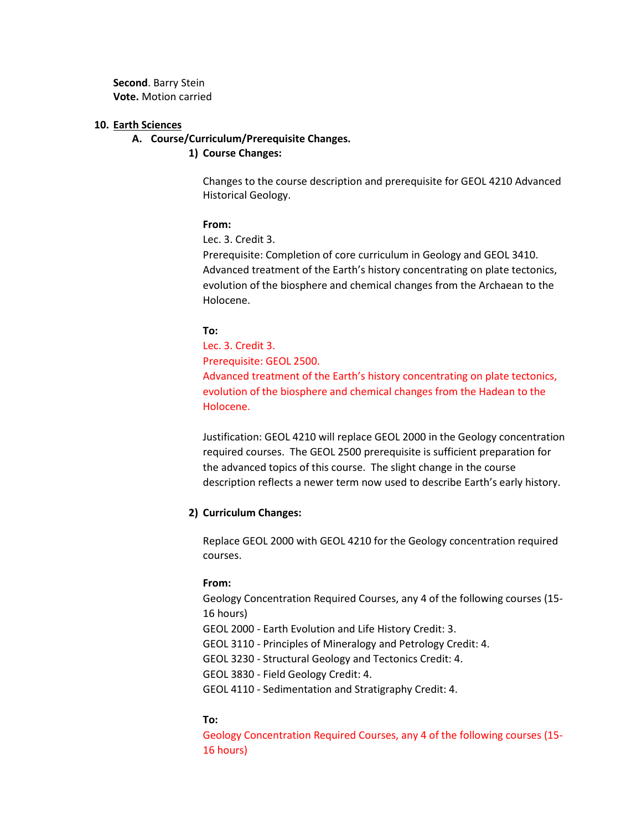**Second**. Barry Stein **Vote.** Motion carried

#### **10. Earth Sciences**

#### **A. Course/Curriculum/Prerequisite Changes.**

#### **1) Course Changes:**

Changes to the course description and prerequisite for GEOL 4210 Advanced Historical Geology.

#### **From:**

Lec. 3. Credit 3.

Prerequisite: Completion of core curriculum in Geology and [GEOL 3410.](https://catalog.tntech.edu/content.php?filter%5B27%5D=GEOL&filter%5B29%5D=&filter%5Bcourse_type%5D=-1&filter%5Bkeyword%5D=&filter%5B32%5D=1&filter%5Bcpage%5D=1&cur_cat_oid=29&expand=&navoid=6106&search_database=Filter&filter%5Bexact_match%5D=1#tt9698) Advanced treatment of the Earth's history concentrating on plate tectonics, evolution of the biosphere and chemical changes from the Archaean to the Holocene.

#### **To:**

Lec. 3. Credit 3. Prerequisite: GEOL 2500. Advanced treatment of the Earth's history concentrating on plate tectonics, evolution of the biosphere and chemical changes from the Hadean to the Holocene.

Justification: GEOL 4210 will replace GEOL 2000 in the Geology concentration required courses. The GEOL 2500 prerequisite is sufficient preparation for the advanced topics of this course. The slight change in the course description reflects a newer term now used to describe Earth's early history.

#### **2) Curriculum Changes:**

Replace GEOL 2000 with GEOL 4210 for the Geology concentration required courses.

#### **From:**

Geology Concentration Required Courses, any 4 of the following courses (15- 16 hours)

GEOL 2000 - Earth Evolution and Life History Credit: 3.

GEOL 3110 - Principles of Mineralogy and Petrology Credit: 4.

GEOL 3230 - Structural Geology and Tectonics Credit: 4.

GEOL 3830 - Field Geology Credit: 4.

GEOL 4110 - Sedimentation and Stratigraphy Credit: 4.

#### **To:**

Geology Concentration Required Courses, any 4 of the following courses (15- 16 hours)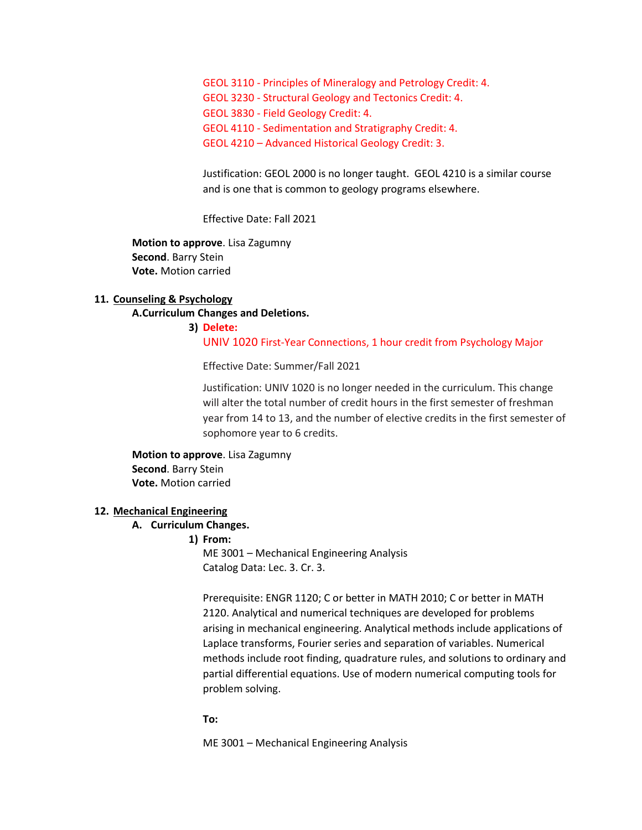GEOL 3110 - Principles of Mineralogy and Petrology Credit: 4. GEOL 3230 - Structural Geology and Tectonics Credit: 4. GEOL 3830 - Field Geology Credit: 4. GEOL 4110 - Sedimentation and Stratigraphy Credit: 4. GEOL 4210 – Advanced Historical Geology Credit: 3.

Justification: GEOL 2000 is no longer taught. GEOL 4210 is a similar course and is one that is common to geology programs elsewhere.

Effective Date: Fall 2021

**Motion to approve**. Lisa Zagumny **Second**. Barry Stein **Vote.** Motion carried

#### **11. Counseling & Psychology**

#### **A.Curriculum Changes and Deletions.**

# **3) Delete:** UNIV 1020 First-Year Connections, 1 hour credit from Psychology Major

Effective Date: Summer/Fall 2021

Justification: UNIV 1020 is no longer needed in the curriculum. This change will alter the total number of credit hours in the first semester of freshman year from 14 to 13, and the number of elective credits in the first semester of sophomore year to 6 credits.

**Motion to approve**. Lisa Zagumny **Second**. Barry Stein **Vote.** Motion carried

#### **12. Mechanical Engineering**

#### **A. Curriculum Changes.**

#### **1) From:**

ME 3001 – Mechanical Engineering Analysis Catalog Data: Lec. 3. Cr. 3.

Prerequisite: ENGR 1120; C or better in MATH 2010; C or better in MATH 2120. Analytical and numerical techniques are developed for problems arising in mechanical engineering. Analytical methods include applications of Laplace transforms, Fourier series and separation of variables. Numerical methods include root finding, quadrature rules, and solutions to ordinary and partial differential equations. Use of modern numerical computing tools for problem solving.

#### **To:**

ME 3001 – Mechanical Engineering Analysis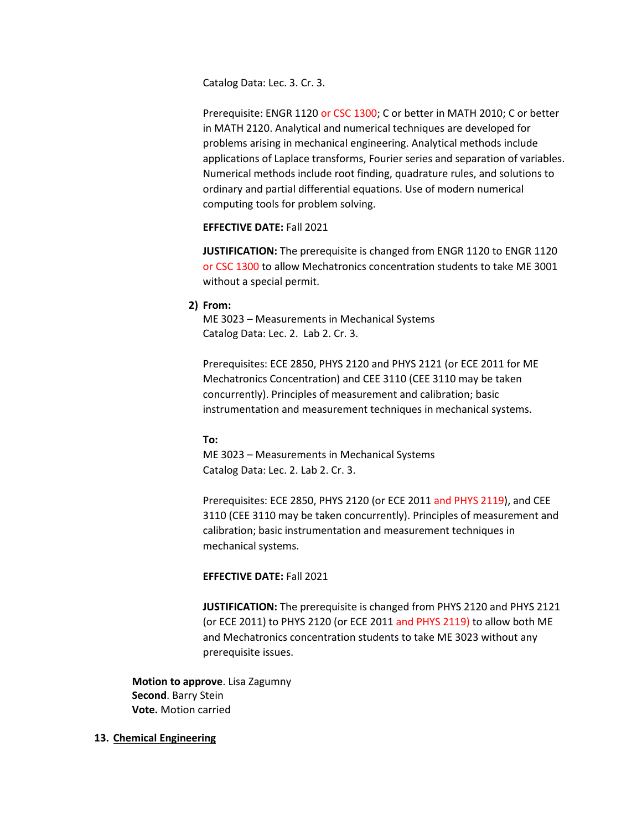Catalog Data: Lec. 3. Cr. 3.

Prerequisite: ENGR 1120 or CSC 1300; C or better in MATH 2010; C or better in MATH 2120. Analytical and numerical techniques are developed for problems arising in mechanical engineering. Analytical methods include applications of Laplace transforms, Fourier series and separation of variables. Numerical methods include root finding, quadrature rules, and solutions to ordinary and partial differential equations. Use of modern numerical computing tools for problem solving.

#### **EFFECTIVE DATE:** Fall 2021

**JUSTIFICATION:** The prerequisite is changed from ENGR 1120 to ENGR 1120 or CSC 1300 to allow Mechatronics concentration students to take ME 3001 without a special permit.

#### **2) From:**

ME 3023 – Measurements in Mechanical Systems Catalog Data: Lec. 2. Lab 2. Cr. 3.

Prerequisites: ECE 2850, PHYS 2120 and PHYS 2121 (or ECE 2011 for ME Mechatronics Concentration) and CEE 3110 (CEE 3110 may be taken concurrently). Principles of measurement and calibration; basic instrumentation and measurement techniques in mechanical systems.

#### **To:**

ME 3023 – Measurements in Mechanical Systems Catalog Data: Lec. 2. Lab 2. Cr. 3.

Prerequisites: ECE 2850, PHYS 2120 (or ECE 2011 and PHYS 2119), and CEE 3110 (CEE 3110 may be taken concurrently). Principles of measurement and calibration; basic instrumentation and measurement techniques in mechanical systems.

# **EFFECTIVE DATE:** Fall 2021

**JUSTIFICATION:** The prerequisite is changed from PHYS 2120 and PHYS 2121 (or ECE 2011) to PHYS 2120 (or ECE 2011 and PHYS 2119) to allow both ME and Mechatronics concentration students to take ME 3023 without any prerequisite issues.

**Motion to approve**. Lisa Zagumny **Second**. Barry Stein **Vote.** Motion carried

#### **13. Chemical Engineering**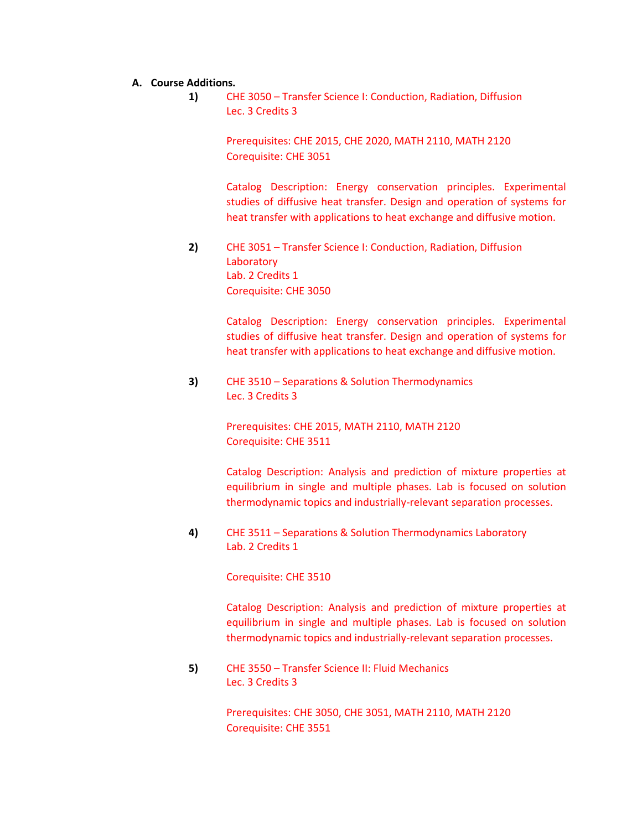#### **A. Course Additions.**

**1)** CHE 3050 – Transfer Science I: Conduction, Radiation, Diffusion Lec. 3 Credits 3

> Prerequisites: CHE 2015, CHE 2020, MATH 2110, MATH 2120 Corequisite: CHE 3051

Catalog Description: Energy conservation principles. Experimental studies of diffusive heat transfer. Design and operation of systems for heat transfer with applications to heat exchange and diffusive motion.

**2)** CHE 3051 – Transfer Science I: Conduction, Radiation, Diffusion **Laboratory** Lab. 2 Credits 1 Corequisite: CHE 3050

> Catalog Description: Energy conservation principles. Experimental studies of diffusive heat transfer. Design and operation of systems for heat transfer with applications to heat exchange and diffusive motion.

**3)** CHE 3510 – Separations & Solution Thermodynamics Lec. 3 Credits 3

> Prerequisites: CHE 2015, MATH 2110, MATH 2120 Corequisite: CHE 3511

Catalog Description: Analysis and prediction of mixture properties at equilibrium in single and multiple phases. Lab is focused on solution thermodynamic topics and industrially-relevant separation processes.

**4)** CHE 3511 – Separations & Solution Thermodynamics Laboratory Lab. 2 Credits 1

Corequisite: CHE 3510

Catalog Description: Analysis and prediction of mixture properties at equilibrium in single and multiple phases. Lab is focused on solution thermodynamic topics and industrially-relevant separation processes.

**5)** CHE 3550 – Transfer Science II: Fluid Mechanics Lec. 3 Credits 3

> Prerequisites: CHE 3050, CHE 3051, MATH 2110, MATH 2120 Corequisite: CHE 3551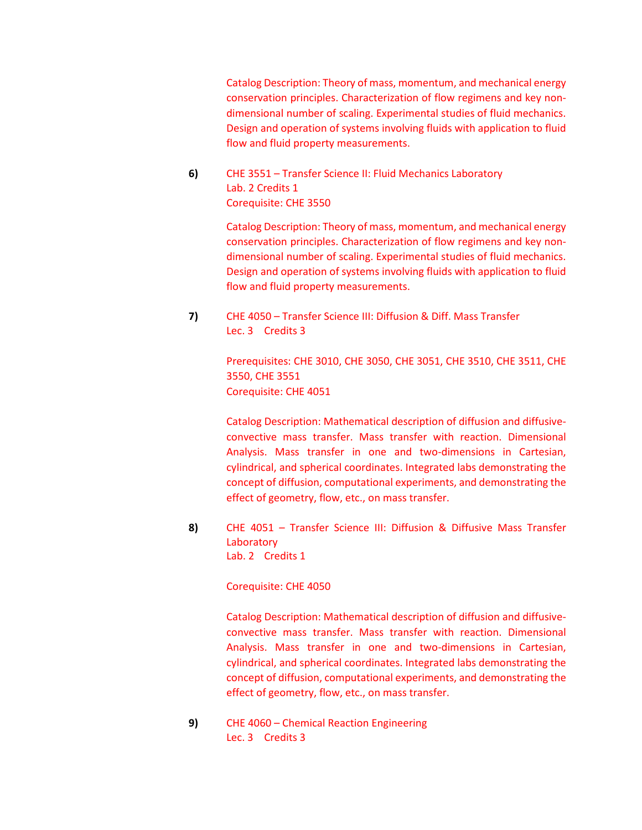Catalog Description: Theory of mass, momentum, and mechanical energy conservation principles. Characterization of flow regimens and key nondimensional number of scaling. Experimental studies of fluid mechanics. Design and operation of systems involving fluids with application to fluid flow and fluid property measurements.

**6)** CHE 3551 – Transfer Science II: Fluid Mechanics Laboratory Lab. 2 Credits 1 Corequisite: CHE 3550

> Catalog Description: Theory of mass, momentum, and mechanical energy conservation principles. Characterization of flow regimens and key nondimensional number of scaling. Experimental studies of fluid mechanics. Design and operation of systems involving fluids with application to fluid flow and fluid property measurements.

**7)** CHE 4050 – Transfer Science III: Diffusion & Diff. Mass Transfer Lec. 3 Credits 3

> Prerequisites: CHE 3010, CHE 3050, CHE 3051, CHE 3510, CHE 3511, CHE 3550, CHE 3551 Corequisite: CHE 4051

> Catalog Description: Mathematical description of diffusion and diffusiveconvective mass transfer. Mass transfer with reaction. Dimensional Analysis. Mass transfer in one and two-dimensions in Cartesian, cylindrical, and spherical coordinates. Integrated labs demonstrating the concept of diffusion, computational experiments, and demonstrating the effect of geometry, flow, etc., on mass transfer.

**8)** CHE 4051 – Transfer Science III: Diffusion & Diffusive Mass Transfer **Laboratory** Lab. 2 Credits 1

Corequisite: CHE 4050

Catalog Description: Mathematical description of diffusion and diffusiveconvective mass transfer. Mass transfer with reaction. Dimensional Analysis. Mass transfer in one and two-dimensions in Cartesian, cylindrical, and spherical coordinates. Integrated labs demonstrating the concept of diffusion, computational experiments, and demonstrating the effect of geometry, flow, etc., on mass transfer.

**9)** CHE 4060 – Chemical Reaction Engineering Lec. 3 Credits 3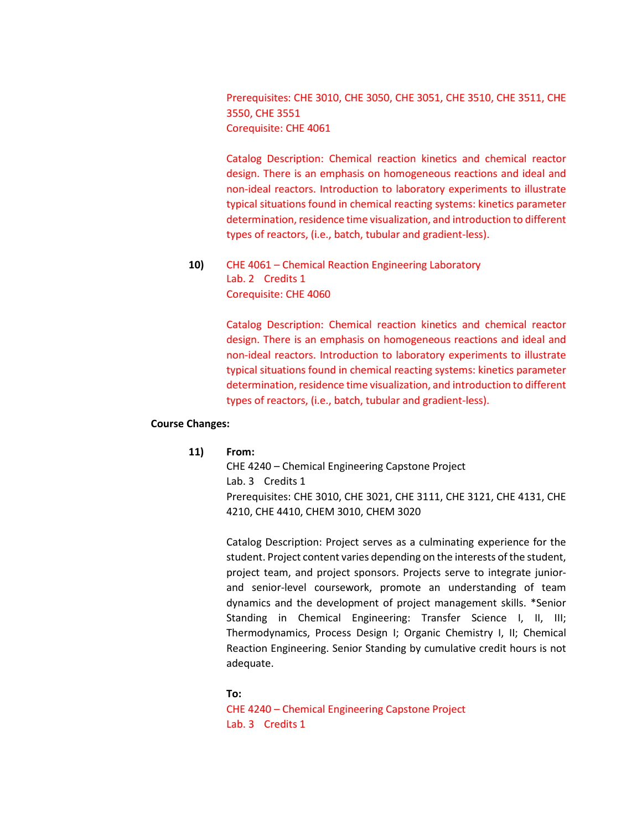Prerequisites: CHE 3010, CHE 3050, CHE 3051, CHE 3510, CHE 3511, CHE 3550, CHE 3551 Corequisite: CHE 4061

Catalog Description: Chemical reaction kinetics and chemical reactor design. There is an emphasis on homogeneous reactions and ideal and non-ideal reactors. Introduction to laboratory experiments to illustrate typical situations found in chemical reacting systems: kinetics parameter determination, residence time visualization, and introduction to different types of reactors, (i.e., batch, tubular and gradient-less).

**10)** CHE 4061 – Chemical Reaction Engineering Laboratory Lab. 2 Credits 1 Corequisite: CHE 4060

> Catalog Description: Chemical reaction kinetics and chemical reactor design. There is an emphasis on homogeneous reactions and ideal and non-ideal reactors. Introduction to laboratory experiments to illustrate typical situations found in chemical reacting systems: kinetics parameter determination, residence time visualization, and introduction to different types of reactors, (i.e., batch, tubular and gradient-less).

#### **Course Changes:**

#### **11) From:**

CHE 4240 – Chemical Engineering Capstone Project Lab. 3 Credits 1 Prerequisites: CHE 3010, CHE 3021, CHE 3111, CHE 3121, CHE 4131, CHE 4210, CHE 4410, CHEM 3010, CHEM 3020

Catalog Description: Project serves as a culminating experience for the student. Project content varies depending on the interests of the student, project team, and project sponsors. Projects serve to integrate juniorand senior-level coursework, promote an understanding of team dynamics and the development of project management skills. \*Senior Standing in Chemical Engineering: Transfer Science I, II, III; Thermodynamics, Process Design I; Organic Chemistry I, II; Chemical Reaction Engineering. Senior Standing by cumulative credit hours is not adequate.

#### **To:**

CHE 4240 – Chemical Engineering Capstone Project Lab. 3 Credits 1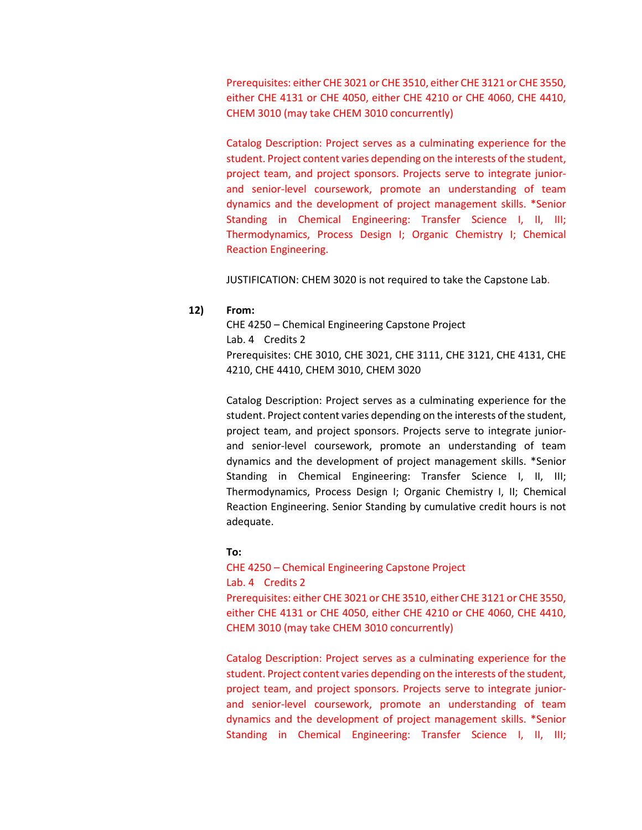Prerequisites: either CHE 3021 or CHE 3510, either CHE 3121 or CHE 3550, either CHE 4131 or CHE 4050, either CHE 4210 or CHE 4060, CHE 4410, CHEM 3010 (may take CHEM 3010 concurrently)

Catalog Description: Project serves as a culminating experience for the student. Project content varies depending on the interests of the student, project team, and project sponsors. Projects serve to integrate juniorand senior-level coursework, promote an understanding of team dynamics and the development of project management skills. \*Senior Standing in Chemical Engineering: Transfer Science I, II, III; Thermodynamics, Process Design I; Organic Chemistry I; Chemical Reaction Engineering.

JUSTIFICATION: CHEM 3020 is not required to take the Capstone Lab.

# **12) From:**

CHE 4250 – Chemical Engineering Capstone Project Lab. 4 Credits 2 Prerequisites: CHE 3010, CHE 3021, CHE 3111, CHE 3121, CHE 4131, CHE 4210, CHE 4410, CHEM 3010, CHEM 3020

Catalog Description: Project serves as a culminating experience for the student. Project content varies depending on the interests of the student, project team, and project sponsors. Projects serve to integrate juniorand senior-level coursework, promote an understanding of team dynamics and the development of project management skills. \*Senior Standing in Chemical Engineering: Transfer Science I, II, III; Thermodynamics, Process Design I; Organic Chemistry I, II; Chemical Reaction Engineering. Senior Standing by cumulative credit hours is not adequate.

# **To:**

CHE 4250 – Chemical Engineering Capstone Project Lab. 4 Credits 2 Prerequisites: either CHE 3021 or CHE 3510, either CHE 3121 or CHE 3550, either CHE 4131 or CHE 4050, either CHE 4210 or CHE 4060, CHE 4410, CHEM 3010 (may take CHEM 3010 concurrently)

Catalog Description: Project serves as a culminating experience for the student. Project content varies depending on the interests of the student, project team, and project sponsors. Projects serve to integrate juniorand senior-level coursework, promote an understanding of team dynamics and the development of project management skills. \*Senior Standing in Chemical Engineering: Transfer Science I, II, III;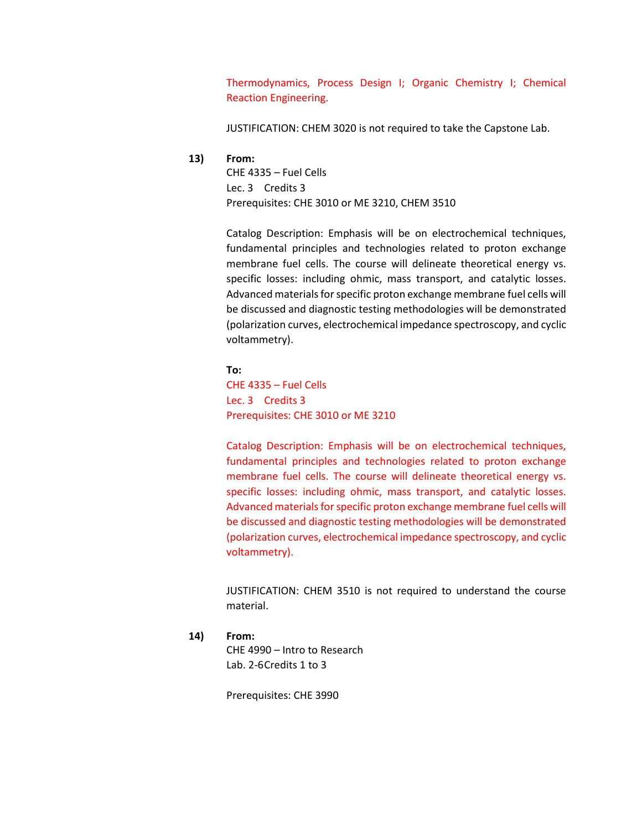Thermodynamics, Process Design I; Organic Chemistry I; Chemical Reaction Engineering.

JUSTIFICATION: CHEM 3020 is not required to take the Capstone Lab.

#### **13) From:**

CHE 4335 – Fuel Cells Lec. 3 Credits 3 Prerequisites: CHE 3010 or ME 3210, CHEM 3510

Catalog Description: Emphasis will be on electrochemical techniques, fundamental principles and technologies related to proton exchange membrane fuel cells. The course will delineate theoretical energy vs. specific losses: including ohmic, mass transport, and catalytic losses. Advanced materials for specific proton exchange membrane fuel cells will be discussed and diagnostic testing methodologies will be demonstrated (polarization curves, electrochemical impedance spectroscopy, and cyclic voltammetry).

**To:** CHE 4335 – Fuel Cells Lec. 3 Credits 3 Prerequisites: CHE 3010 or ME 3210

Catalog Description: Emphasis will be on electrochemical techniques, fundamental principles and technologies related to proton exchange membrane fuel cells. The course will delineate theoretical energy vs. specific losses: including ohmic, mass transport, and catalytic losses. Advanced materials for specific proton exchange membrane fuel cells will be discussed and diagnostic testing methodologies will be demonstrated (polarization curves, electrochemical impedance spectroscopy, and cyclic voltammetry).

JUSTIFICATION: CHEM 3510 is not required to understand the course material.

**14) From:**

CHE 4990 – Intro to Research Lab. 2-6Credits 1 to 3

Prerequisites: CHE 3990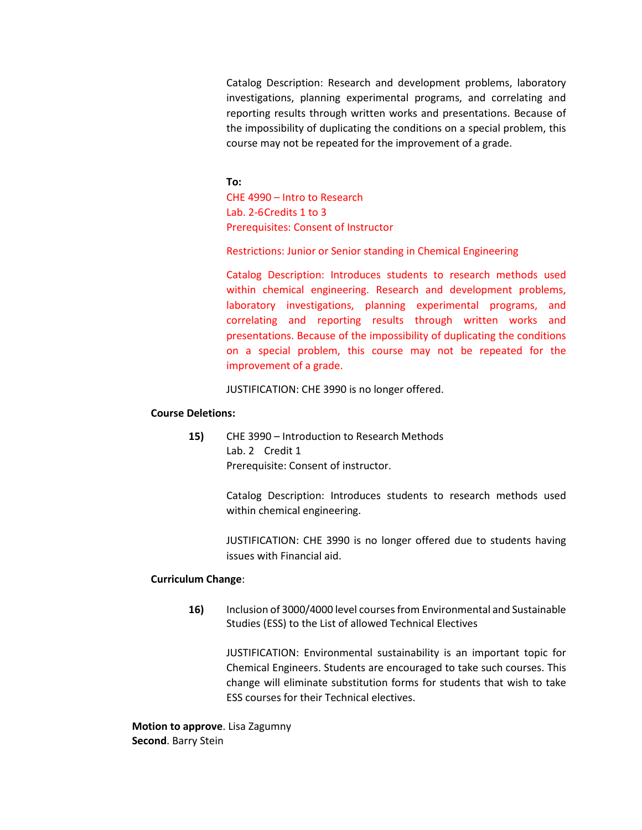Catalog Description: Research and development problems, laboratory investigations, planning experimental programs, and correlating and reporting results through written works and presentations. Because of the impossibility of duplicating the conditions on a special problem, this course may not be repeated for the improvement of a grade.

**To:** CHE 4990 – Intro to Research Lab. 2-6Credits 1 to 3 Prerequisites: Consent of Instructor

Restrictions: Junior or Senior standing in Chemical Engineering

Catalog Description: Introduces students to research methods used within chemical engineering. Research and development problems, laboratory investigations, planning experimental programs, and correlating and reporting results through written works and presentations. Because of the impossibility of duplicating the conditions on a special problem, this course may not be repeated for the improvement of a grade.

JUSTIFICATION: CHE 3990 is no longer offered.

#### **Course Deletions:**

**15)** CHE 3990 – Introduction to Research Methods Lab. 2 Credit 1 Prerequisite: Consent of instructor.

> Catalog Description: Introduces students to research methods used within chemical engineering.

> JUSTIFICATION: CHE 3990 is no longer offered due to students having issues with Financial aid.

# **Curriculum Change**:

**16)** Inclusion of 3000/4000 level courses from Environmental and Sustainable Studies (ESS) to the List of allowed Technical Electives

JUSTIFICATION: Environmental sustainability is an important topic for Chemical Engineers. Students are encouraged to take such courses. This change will eliminate substitution forms for students that wish to take ESS courses for their Technical electives.

**Motion to approve**. Lisa Zagumny **Second**. Barry Stein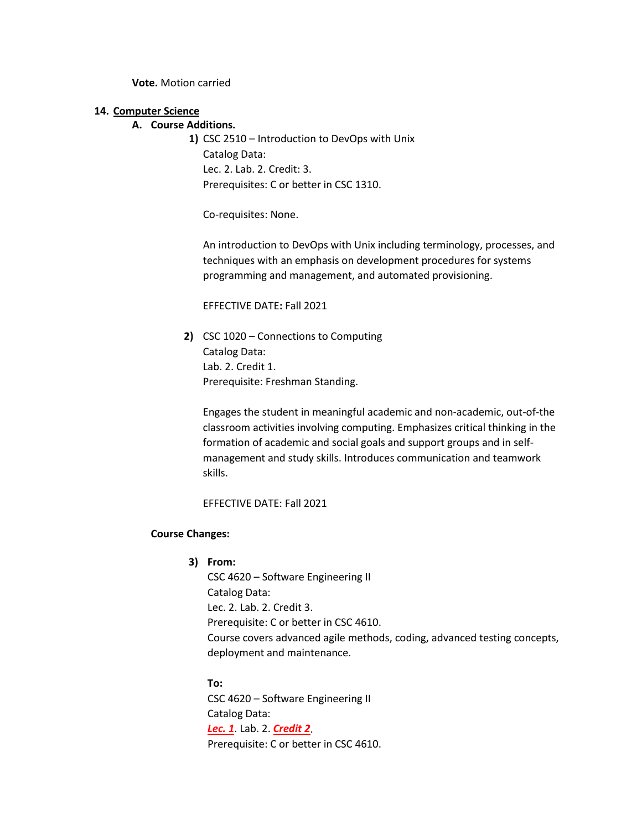**Vote.** Motion carried

#### **14. Computer Science**

# **A. Course Additions.**

**1)** CSC 2510 – Introduction to DevOps with Unix Catalog Data: Lec. 2. Lab. 2. Credit: 3. Prerequisites: C or better in CSC 1310.

Co-requisites: None.

An introduction to DevOps with Unix including terminology, processes, and techniques with an emphasis on development procedures for systems programming and management, and automated provisioning.

EFFECTIVE DATE**:** Fall 2021

**2)** CSC 1020 – Connections to Computing Catalog Data: Lab. 2. Credit 1. Prerequisite: Freshman Standing.

Engages the student in meaningful academic and non-academic, out-of-the classroom activities involving computing. Emphasizes critical thinking in the formation of academic and social goals and support groups and in selfmanagement and study skills. Introduces communication and teamwork skills.

EFFECTIVE DATE: Fall 2021

#### **Course Changes:**

# **3) From:**

CSC 4620 – Software Engineering II Catalog Data: Lec. 2. Lab. 2. Credit 3. Prerequisite: C or better in CSC 4610. Course covers advanced agile methods, coding, advanced testing concepts, deployment and maintenance.

**To:** CSC 4620 – Software Engineering II Catalog Data: *Lec. 1*. Lab. 2. *Credit 2*. Prerequisite: C or better in CSC 4610.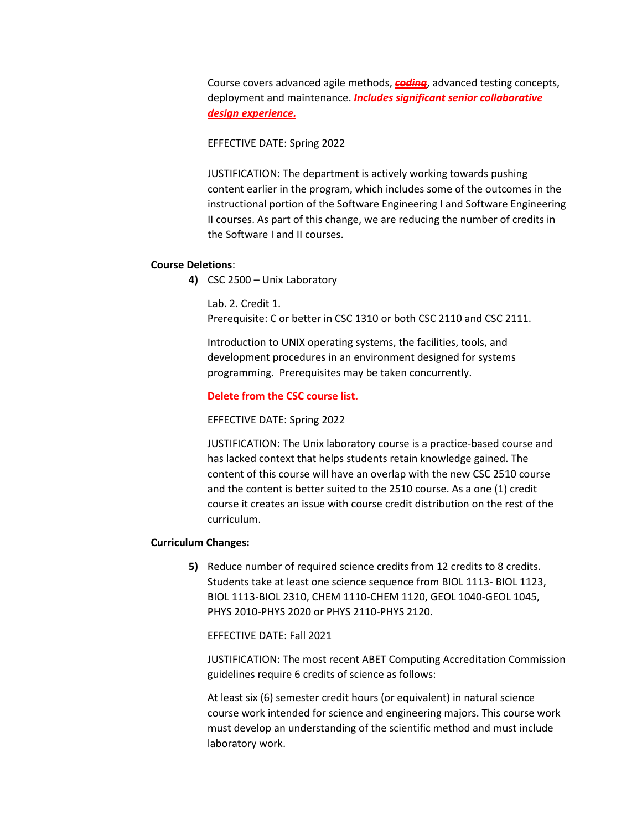Course covers advanced agile methods, *coding*, advanced testing concepts, deployment and maintenance. *Includes significant senior collaborative design experience.*

EFFECTIVE DATE: Spring 2022

JUSTIFICATION: The department is actively working towards pushing content earlier in the program, which includes some of the outcomes in the instructional portion of the Software Engineering I and Software Engineering II courses. As part of this change, we are reducing the number of credits in the Software I and II courses.

#### **Course Deletions**:

**4)** CSC 2500 – Unix Laboratory

Lab. 2. Credit 1. Prerequisite: C or better in CSC 1310 or both CSC 2110 and CSC 2111.

Introduction to UNIX operating systems, the facilities, tools, and development procedures in an environment designed for systems programming. Prerequisites may be taken concurrently.

#### **Delete from the CSC course list.**

EFFECTIVE DATE: Spring 2022

JUSTIFICATION: The Unix laboratory course is a practice-based course and has lacked context that helps students retain knowledge gained. The content of this course will have an overlap with the new CSC 2510 course and the content is better suited to the 2510 course. As a one (1) credit course it creates an issue with course credit distribution on the rest of the curriculum.

#### **Curriculum Changes:**

**5)** Reduce number of required science credits from 12 credits to 8 credits. Students take at least one science sequence from BIOL 1113- BIOL 1123, BIOL 1113-BIOL 2310, CHEM 1110-CHEM 1120, GEOL 1040-GEOL 1045, PHYS 2010-PHYS 2020 or PHYS 2110-PHYS 2120.

EFFECTIVE DATE: Fall 2021

JUSTIFICATION: The most recent ABET Computing Accreditation Commission guidelines require 6 credits of science as follows:

At least six (6) semester credit hours (or equivalent) in natural science course work intended for science and engineering majors. This course work must develop an understanding of the scientific method and must include laboratory work.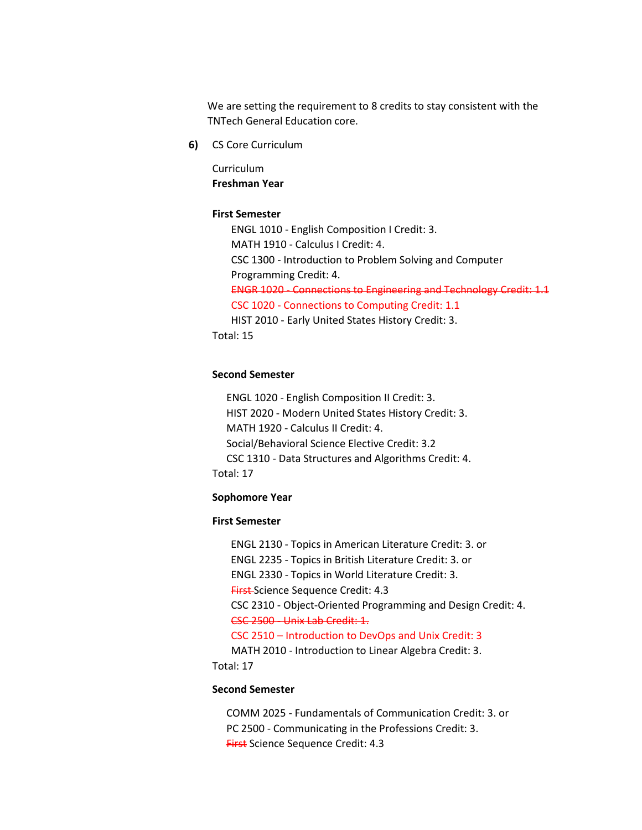We are setting the requirement to 8 credits to stay consistent with the TNTech General Education core.

**6)** CS Core Curriculum

Curriculum **Freshman Year**

#### **First Semester**

ENGL 1010 - English Composition I Credit: 3. MATH 1910 - Calculus I Credit: 4. CSC 1300 - Introduction to Problem Solving and Computer Programming Credit: 4. ENGR 1020 - Connections to Engineering and Technology Credit: 1.1 CSC 1020 - Connections to Computing Credit: 1.1 HIST 2010 - Early United States History Credit: 3. Total: 15

# **Second Semester**

ENGL 1020 - English Composition II Credit: 3. HIST 2020 - Modern United States History Credit: 3. MATH 1920 - Calculus II Credit: 4. Social/Behavioral Science Elective Credit: 3.2 CSC 1310 - Data Structures and Algorithms Credit: 4. Total: 17

#### **Sophomore Year**

#### **First Semester**

ENGL 2130 - Topics in American Literature Credit: 3. or ENGL 2235 - Topics in British Literature Credit: 3. or ENGL 2330 - Topics in World Literature Credit: 3. First Science Sequence Credit: 4.3 CSC 2310 - Object-Oriented Programming and Design Credit: 4. CSC 2500 - Unix Lab Credit: 1. CSC 2510 – Introduction to DevOps and Unix Credit: 3 MATH 2010 - Introduction to Linear Algebra Credit: 3.

Total: 17

#### **Second Semester**

COMM 2025 - Fundamentals of Communication Credit: 3. or PC 2500 - Communicating in the Professions Credit: 3. First Science Sequence Credit: 4.3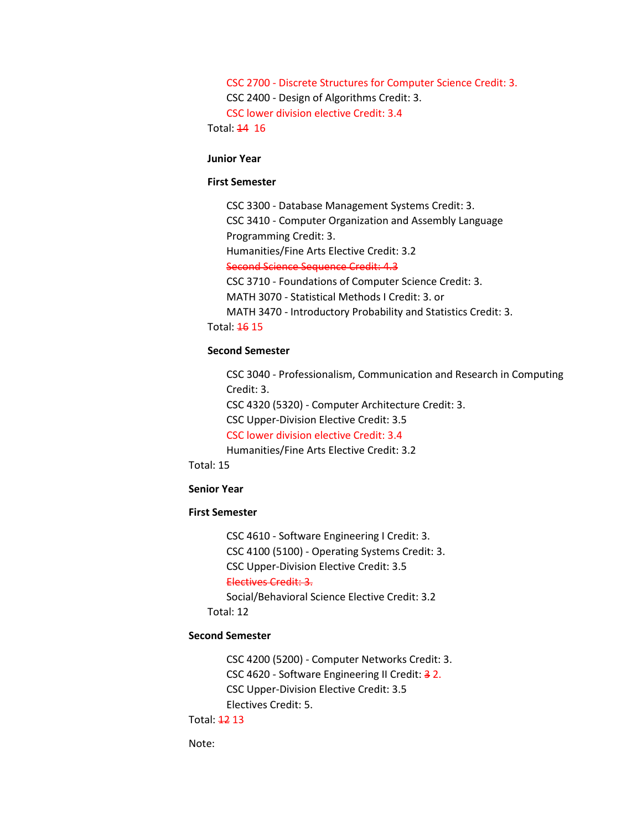CSC 2700 - Discrete Structures for Computer Science Credit: 3. CSC 2400 - Design of Algorithms Credit: 3. CSC lower division elective Credit: 3.4

Total: 14 16

#### **Junior Year**

#### **First Semester**

CSC 3300 - Database Management Systems Credit: 3. CSC 3410 - Computer Organization and Assembly Language Programming Credit: 3.

Humanities/Fine Arts Elective Credit: 3.2

Second Science Sequence Credit: 4.3

CSC 3710 - Foundations of Computer Science Credit: 3.

MATH 3070 - Statistical Methods I Credit: 3. or

MATH 3470 - Introductory Probability and Statistics Credit: 3.

Total: 16 15

#### **Second Semester**

CSC 3040 - Professionalism, Communication and Research in Computing Credit: 3.

CSC 4320 (5320) - Computer Architecture Credit: 3.

CSC Upper-Division Elective Credit: 3.5

CSC lower division elective Credit: 3.4

Humanities/Fine Arts Elective Credit: 3.2

Total: 15

#### **Senior Year**

# **First Semester**

CSC 4610 - Software Engineering I Credit: 3. CSC 4100 (5100) - Operating Systems Credit: 3. CSC Upper-Division Elective Credit: 3.5 Electives Credit: 3. Social/Behavioral Science Elective Credit: 3.2 Total: 12

# **Second Semester**

CSC 4200 (5200) - Computer Networks Credit: 3. CSC 4620 - Software Engineering II Credit: 3 2. CSC Upper-Division Elective Credit: 3.5 Electives Credit: 5.

Total: 12 13

Note: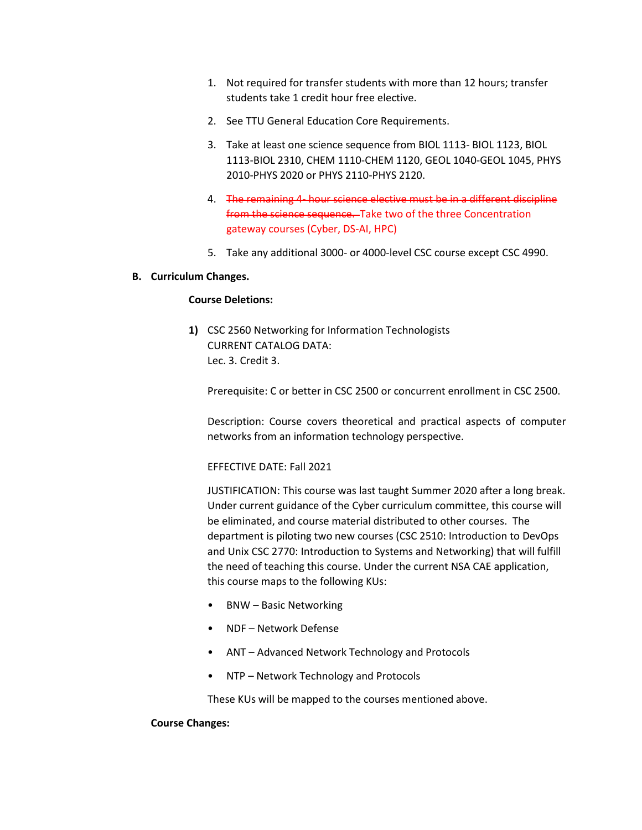- 1. Not required for transfer students with more than 12 hours; transfer students take 1 credit hour free elective.
- 2. See TTU General Education Core Requirements.
- 3. Take at least one science sequence from BIOL 1113- BIOL 1123, BIOL 1113-BIOL 2310, CHEM 1110-CHEM 1120, GEOL 1040-GEOL 1045, PHYS 2010-PHYS 2020 or PHYS 2110-PHYS 2120.
- 4. The remaining 4- hour science elective must be in a different discipline from the science sequence. Take two of the three Concentration gateway courses (Cyber, DS-AI, HPC)
- 5. Take any additional 3000- or 4000-level CSC course except CSC 4990.

#### **B. Curriculum Changes.**

# **Course Deletions:**

**1)** CSC 2560 Networking for Information Technologists CURRENT CATALOG DATA: Lec. 3. Credit 3.

Prerequisite: C or better in CSC 2500 or concurrent enrollment in CSC 2500.

Description: Course covers theoretical and practical aspects of computer networks from an information technology perspective.

EFFECTIVE DATE: Fall 2021

JUSTIFICATION: This course was last taught Summer 2020 after a long break. Under current guidance of the Cyber curriculum committee, this course will be eliminated, and course material distributed to other courses. The department is piloting two new courses (CSC 2510: Introduction to DevOps and Unix CSC 2770: Introduction to Systems and Networking) that will fulfill the need of teaching this course. Under the current NSA CAE application, this course maps to the following KUs:

- BNW Basic Networking
- NDF Network Defense
- ANT Advanced Network Technology and Protocols
- NTP Network Technology and Protocols

These KUs will be mapped to the courses mentioned above.

#### **Course Changes:**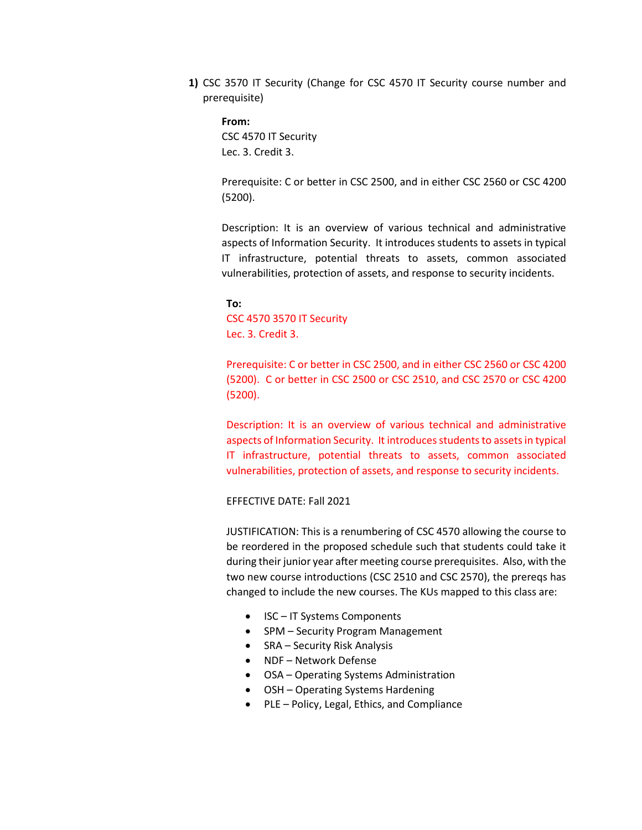**1)** CSC 3570 IT Security (Change for CSC 4570 IT Security course number and prerequisite)

**From:** CSC 4570 IT Security Lec. 3. Credit 3.

Prerequisite: C or better in CSC 2500, and in either CSC 2560 or CSC 4200 (5200).

Description: It is an overview of various technical and administrative aspects of Information Security. It introduces students to assets in typical IT infrastructure, potential threats to assets, common associated vulnerabilities, protection of assets, and response to security incidents.

**To:**  CSC 4570 3570 IT Security Lec. 3. Credit 3.

Prerequisite: C or better in CSC 2500, and in either CSC 2560 or CSC 4200 (5200). C or better in CSC 2500 or CSC 2510, and CSC 2570 or CSC 4200 (5200).

Description: It is an overview of various technical and administrative aspects of Information Security. It introduces students to assets in typical IT infrastructure, potential threats to assets, common associated vulnerabilities, protection of assets, and response to security incidents.

#### EFFECTIVE DATE: Fall 2021

JUSTIFICATION: This is a renumbering of CSC 4570 allowing the course to be reordered in the proposed schedule such that students could take it during their junior year after meeting course prerequisites. Also, with the two new course introductions (CSC 2510 and CSC 2570), the prereqs has changed to include the new courses. The KUs mapped to this class are:

- ISC IT Systems Components
- SPM Security Program Management
- SRA Security Risk Analysis
- NDF Network Defense
- OSA Operating Systems Administration
- OSH Operating Systems Hardening
- PLE Policy, Legal, Ethics, and Compliance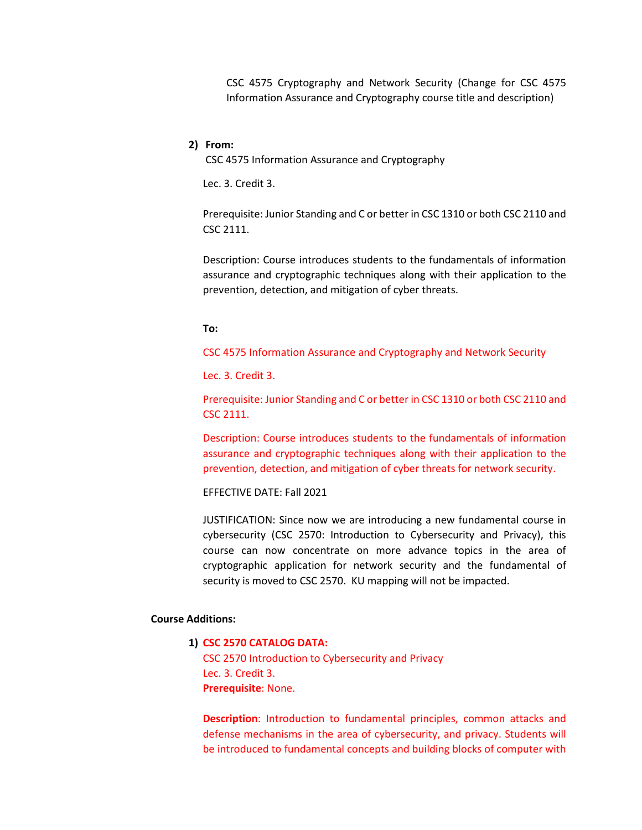CSC 4575 Cryptography and Network Security (Change for CSC 4575 Information Assurance and Cryptography course title and description)

#### **2) From:**

CSC 4575 Information Assurance and Cryptography

Lec. 3. Credit 3.

Prerequisite: Junior Standing and C or better in CSC 1310 or both CSC 2110 and CSC 2111.

Description: Course introduces students to the fundamentals of information assurance and cryptographic techniques along with their application to the prevention, detection, and mitigation of cyber threats.

#### **To:**

CSC 4575 Information Assurance and Cryptography and Network Security

Lec. 3. Credit 3.

Prerequisite: Junior Standing and C or better in CSC 1310 or both CSC 2110 and CSC 2111.

Description: Course introduces students to the fundamentals of information assurance and cryptographic techniques along with their application to the prevention, detection, and mitigation of cyber threats for network security.

EFFECTIVE DATE: Fall 2021

JUSTIFICATION: Since now we are introducing a new fundamental course in cybersecurity (CSC 2570: Introduction to Cybersecurity and Privacy), this course can now concentrate on more advance topics in the area of cryptographic application for network security and the fundamental of security is moved to CSC 2570. KU mapping will not be impacted.

#### **Course Additions:**

#### **1) CSC 2570 CATALOG DATA:**

CSC 2570 Introduction to Cybersecurity and Privacy Lec. 3. Credit 3. **Prerequisite**: None.

**Description**: Introduction to fundamental principles, common attacks and defense mechanisms in the area of cybersecurity, and privacy. Students will be introduced to fundamental concepts and building blocks of computer with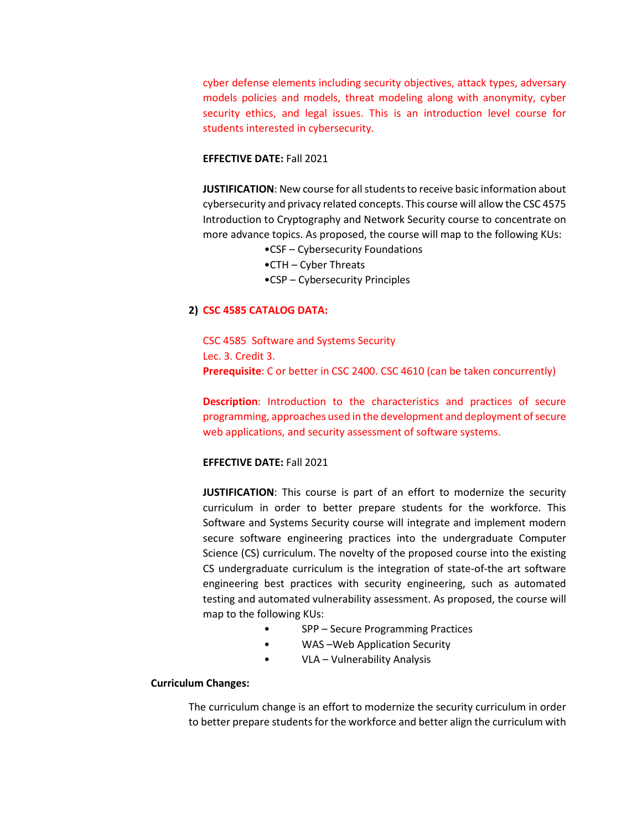cyber defense elements including security objectives, attack types, adversary models policies and models, threat modeling along with anonymity, cyber security ethics, and legal issues. This is an introduction level course for students interested in cybersecurity.

# **EFFECTIVE DATE:** Fall 2021

**JUSTIFICATION**: New course for all students to receive basic information about cybersecurity and privacy related concepts. This course will allow the CSC 4575 Introduction to Cryptography and Network Security course to concentrate on more advance topics. As proposed, the course will map to the following KUs:

- •CSF Cybersecurity Foundations
- •CTH Cyber Threats
- •CSP Cybersecurity Principles

# **2) CSC 4585 CATALOG DATA:**

CSC 4585 Software and Systems Security Lec. 3. Credit 3. **Prerequisite**: C or better in CSC 2400. CSC 4610 (can be taken concurrently)

**Description**: Introduction to the characteristics and practices of secure programming, approaches used in the development and deployment of secure web applications, and security assessment of software systems.

#### **EFFECTIVE DATE:** Fall 2021

**JUSTIFICATION**: This course is part of an effort to modernize the security curriculum in order to better prepare students for the workforce. This Software and Systems Security course will integrate and implement modern secure software engineering practices into the undergraduate Computer Science (CS) curriculum. The novelty of the proposed course into the existing CS undergraduate curriculum is the integration of state-of-the art software engineering best practices with security engineering, such as automated testing and automated vulnerability assessment. As proposed, the course will map to the following KUs:

- SPP Secure Programming Practices
- WAS-Web Application Security
- VLA Vulnerability Analysis

#### **Curriculum Changes:**

The curriculum change is an effort to modernize the security curriculum in order to better prepare students for the workforce and better align the curriculum with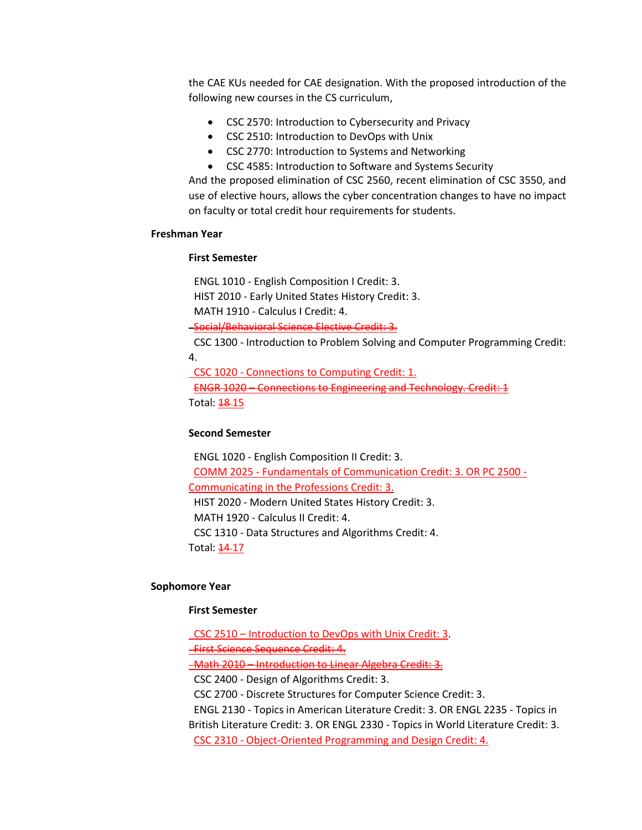the CAE KUs needed for CAE designation. With the proposed introduction of the following new courses in the CS curriculum,

- CSC 2570: Introduction to Cybersecurity and Privacy
- CSC 2510: Introduction to DevOps with Unix
- CSC 2770: Introduction to Systems and Networking
- CSC 4585: Introduction to Software and Systems Security

And the proposed elimination of CSC 2560, recent elimination of CSC 3550, and use of elective hours, allows the cyber concentration changes to have no impact on faculty or total credit hour requirements for students.

#### **Freshman Year**

#### **First Semester**

ENGL 1010 - English Composition I Credit: 3.

HIST 2010 - Early United States History Credit: 3.

MATH 1910 - Calculus I Credit: 4.

Social/Behavioral Science Elective Credit: 3.

 CSC 1300 - Introduction to Problem Solving and Computer Programming Credit: 4.

 CSC 1020 - Connections to Computing Credit: 1. ENGR 1020 – Connections to Engineering and Technology. Credit: 1 Total: **18-15** 

#### **Second Semester**

 ENGL 1020 - English Composition II Credit: 3. COMM 2025 - Fundamentals of Communication Credit: 3. OR PC 2500 - Communicating in the Professions Credit: 3. HIST 2020 - Modern United States History Credit: 3. MATH 1920 - Calculus II Credit: 4. CSC 1310 - Data Structures and Algorithms Credit: 4. Total: **14-17** 

#### **Sophomore Year**

#### **First Semester**

 CSC 2510 – Introduction to DevOps with Unix Credit: 3. First Science Sequence Credit: 4.

-Math 2010 – Introduction to Linear Algebra Credit: 3.

CSC 2400 - Design of Algorithms Credit: 3.

CSC 2700 - Discrete Structures for Computer Science Credit: 3.

 ENGL 2130 - Topics in American Literature Credit: 3. OR ENGL 2235 - Topics in British Literature Credit: 3. OR ENGL 2330 - Topics in World Literature Credit: 3. CSC 2310 - Object-Oriented Programming and Design Credit: 4.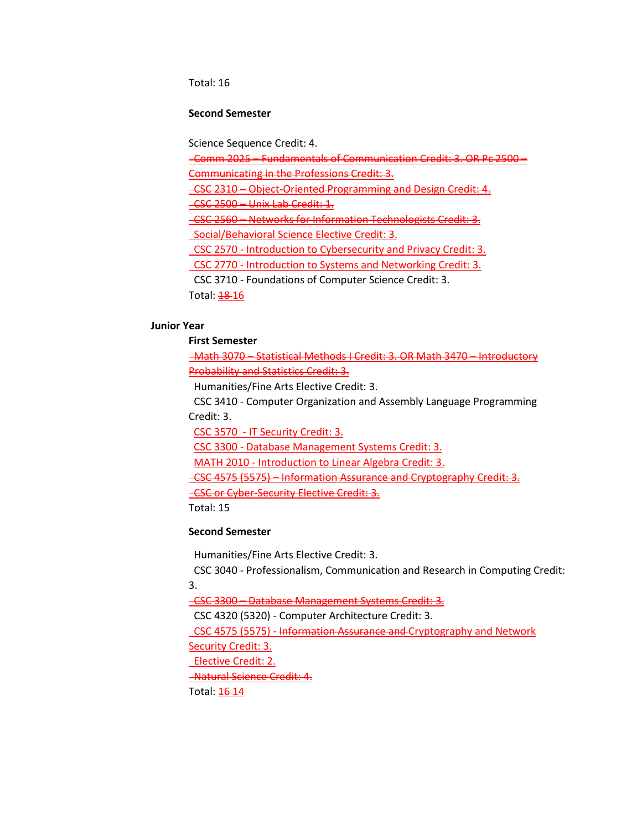Total: 16

# **Second Semester**

Science Sequence Credit: 4.

Comm 2025 – Fundamentals of Communication Credit: 3. OR Pc 2500 –

Communicating in the Professions Credit: 3.

CSC 2310 – Object-Oriented Programming and Design Credit: 4.

CSC 2500 – Unix Lab Credit: 1.

 CSC 2560 – Networks for Information Technologists Credit: 3. Social/Behavioral Science Elective Credit: 3.

CSC 2570 - Introduction to Cybersecurity and Privacy Credit: 3.

CSC 2770 - Introduction to Systems and Networking Credit: 3.

CSC 3710 - Foundations of Computer Science Credit: 3.

Total: 18 16

# **Junior Year**

**First Semester**

 Math 3070 – Statistical Methods I Credit: 3. OR Math 3470 – Introductory Probability and Statistics Credit: 3.

Humanities/Fine Arts Elective Credit: 3.

 CSC 3410 - Computer Organization and Assembly Language Programming Credit: 3.

CSC 3570 - IT Security Credit: 3.

CSC 3300 - Database Management Systems Credit: 3.

MATH 2010 - Introduction to Linear Algebra Credit: 3.

CSC 4575 (5575) – Information Assurance and Cryptography Credit: 3.

**CSC or Cyber-Security Elective Credit: 3.** 

Total: 15

# **Second Semester**

Humanities/Fine Arts Elective Credit: 3.

 CSC 3040 - Professionalism, Communication and Research in Computing Credit: 3.

CSC 3300 – Database Management Systems Credit: 3.

CSC 4320 (5320) - Computer Architecture Credit: 3.

CSC 4575 (5575) - Information Assurance and Cryptography and Network

Security Credit: 3.

Elective Credit: 2.

Natural Science Credit: 4.

Total: **16-14**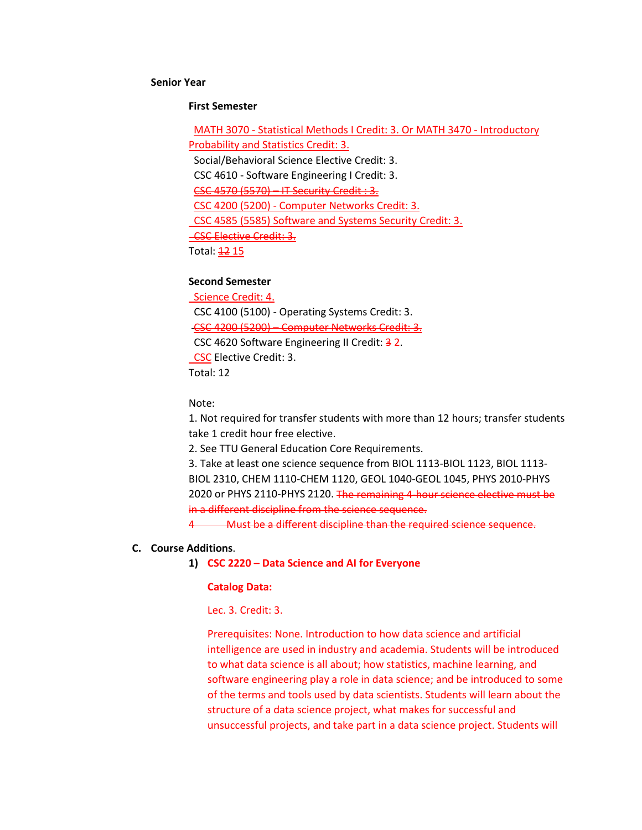#### **Senior Year**

#### **First Semester**

 MATH 3070 - Statistical Methods I Credit: 3. Or MATH 3470 - Introductory Probability and Statistics Credit: 3. Social/Behavioral Science Elective Credit: 3. CSC 4610 - Software Engineering I Credit: 3. CSC 4570 (5570) – IT Security Credit : 3. CSC 4200 (5200) - Computer Networks Credit: 3. CSC 4585 (5585) Software and Systems Security Credit: 3. **CSC Elective Credit: 3.** Total: 12 15

# **Second Semester**

 Science Credit: 4. CSC 4100 (5100) - Operating Systems Credit: 3. CSC 4200 (5200) – Computer Networks Credit: 3. CSC 4620 Software Engineering II Credit: 32. CSC Elective Credit: 3. Total: 12

Note:

1. Not required for transfer students with more than 12 hours; transfer students take 1 credit hour free elective.

2. See TTU General Education Core Requirements.

3. Take at least one science sequence from BIOL 1113-BIOL 1123, BIOL 1113- BIOL 2310, CHEM 1110-CHEM 1120, GEOL 1040-GEOL 1045, PHYS 2010-PHYS 2020 or PHYS 2110-PHYS 2120. The remaining 4-hour science elective must be in a different discipline from the science sequence.

4 Must be a different discipline than the required science sequence.

# **C. Course Additions**.

#### **1) CSC 2220 – Data Science and AI for Everyone**

#### **Catalog Data:**

Lec. 3. Credit: 3.

Prerequisites: None. Introduction to how data science and artificial intelligence are used in industry and academia. Students will be introduced to what data science is all about; how statistics, machine learning, and software engineering play a role in data science; and be introduced to some of the terms and tools used by data scientists. Students will learn about the structure of a data science project, what makes for successful and unsuccessful projects, and take part in a data science project. Students will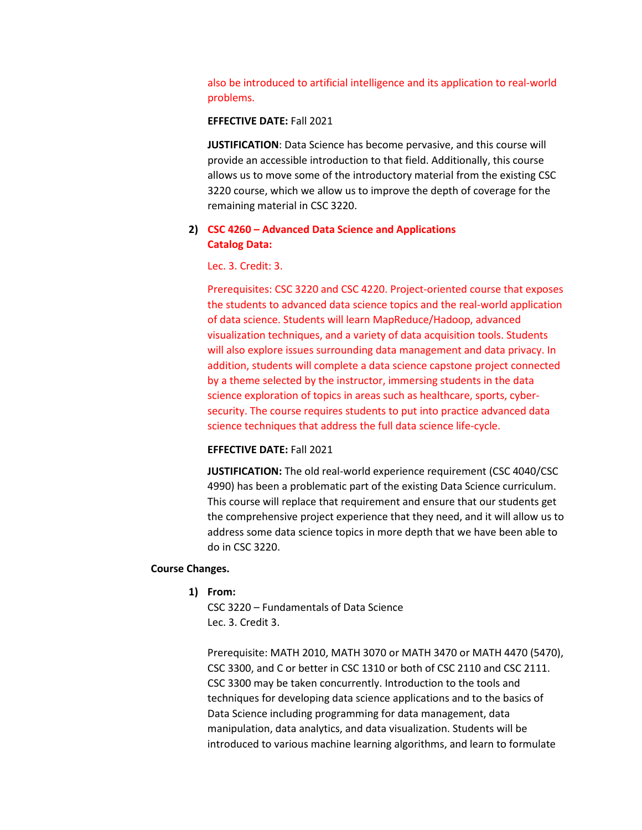also be introduced to artificial intelligence and its application to real-world problems.

#### **EFFECTIVE DATE:** Fall 2021

**JUSTIFICATION**: Data Science has become pervasive, and this course will provide an accessible introduction to that field. Additionally, this course allows us to move some of the introductory material from the existing CSC 3220 course, which we allow us to improve the depth of coverage for the remaining material in CSC 3220.

# **2) CSC 4260 – Advanced Data Science and Applications Catalog Data:**

Lec. 3. Credit: 3.

Prerequisites: CSC 3220 and CSC 4220. Project-oriented course that exposes the students to advanced data science topics and the real-world application of data science. Students will learn MapReduce/Hadoop, advanced visualization techniques, and a variety of data acquisition tools. Students will also explore issues surrounding data management and data privacy. In addition, students will complete a data science capstone project connected by a theme selected by the instructor, immersing students in the data science exploration of topics in areas such as healthcare, sports, cybersecurity. The course requires students to put into practice advanced data science techniques that address the full data science life-cycle.

#### **EFFECTIVE DATE:** Fall 2021

**JUSTIFICATION:** The old real-world experience requirement (CSC 4040/CSC 4990) has been a problematic part of the existing Data Science curriculum. This course will replace that requirement and ensure that our students get the comprehensive project experience that they need, and it will allow us to address some data science topics in more depth that we have been able to do in CSC 3220.

#### **Course Changes.**

**1) From:** 

CSC 3220 – Fundamentals of Data Science Lec. 3. Credit 3.

Prerequisite: MATH 2010, MATH 3070 or MATH 3470 or MATH 4470 (5470), CSC 3300, and C or better in CSC 1310 or both of CSC 2110 and CSC 2111. CSC 3300 may be taken concurrently. Introduction to the tools and techniques for developing data science applications and to the basics of Data Science including programming for data management, data manipulation, data analytics, and data visualization. Students will be introduced to various machine learning algorithms, and learn to formulate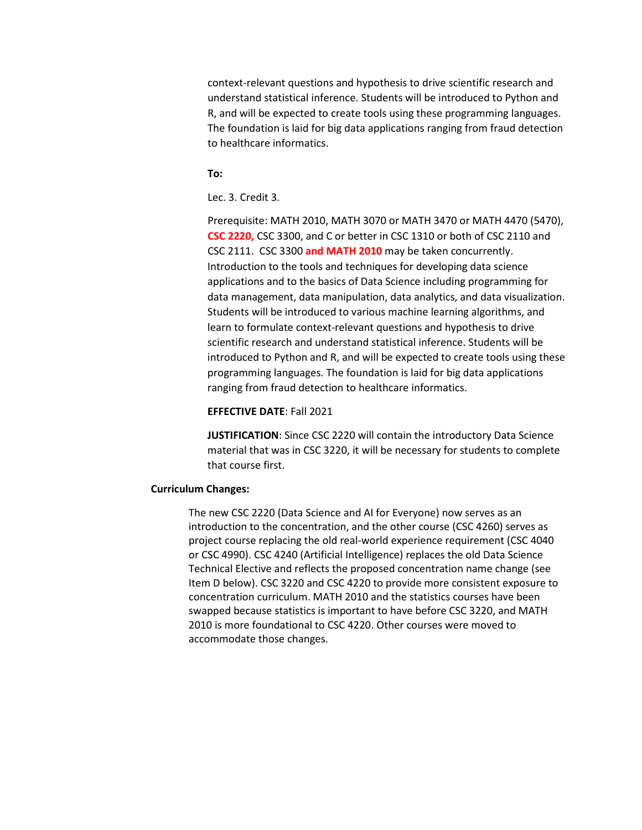context-relevant questions and hypothesis to drive scientific research and understand statistical inference. Students will be introduced to Python and R, and will be expected to create tools using these programming languages. The foundation is laid for big data applications ranging from fraud detection to healthcare informatics.

#### **To:**

Lec. 3. Credit 3.

Prerequisite: MATH 2010, MATH 3070 or MATH 3470 or MATH 4470 (5470), **CSC 2220,** CSC 3300, and C or better in CSC 1310 or both of CSC 2110 and CSC 2111. CSC 3300 **and MATH 2010** may be taken concurrently. Introduction to the tools and techniques for developing data science applications and to the basics of Data Science including programming for data management, data manipulation, data analytics, and data visualization. Students will be introduced to various machine learning algorithms, and learn to formulate context-relevant questions and hypothesis to drive scientific research and understand statistical inference. Students will be introduced to Python and R, and will be expected to create tools using these programming languages. The foundation is laid for big data applications ranging from fraud detection to healthcare informatics.

#### **EFFECTIVE DATE**: Fall 2021

**JUSTIFICATION**: Since CSC 2220 will contain the introductory Data Science material that was in CSC 3220, it will be necessary for students to complete that course first.

#### **Curriculum Changes:**

The new CSC 2220 (Data Science and AI for Everyone) now serves as an introduction to the concentration, and the other course (CSC 4260) serves as project course replacing the old real-world experience requirement (CSC 4040 or CSC 4990). CSC 4240 (Artificial Intelligence) replaces the old Data Science Technical Elective and reflects the proposed concentration name change (see Item D below). CSC 3220 and CSC 4220 to provide more consistent exposure to concentration curriculum. MATH 2010 and the statistics courses have been swapped because statistics is important to have before CSC 3220, and MATH 2010 is more foundational to CSC 4220. Other courses were moved to accommodate those changes.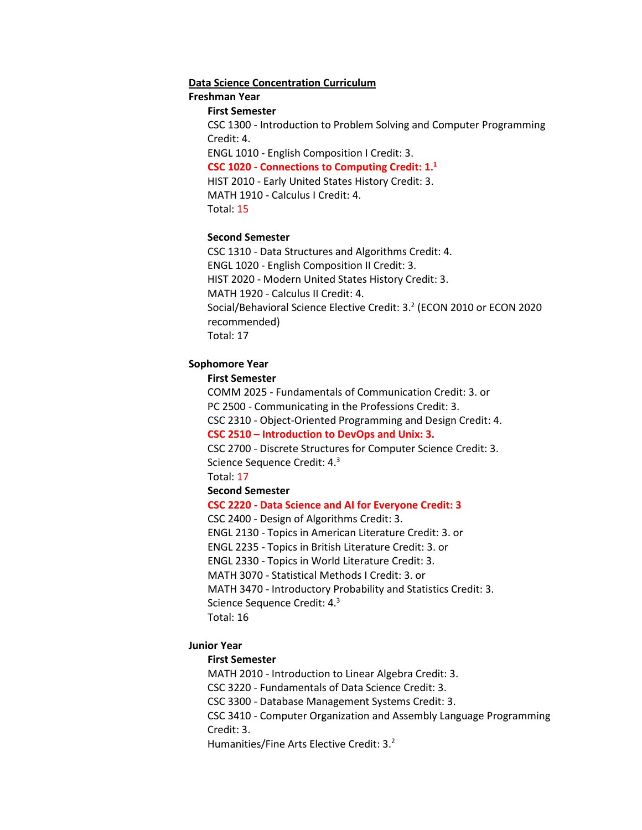#### **Data Science Concentration Curriculum**

#### **Freshman Year**

#### **First Semester**

CSC 1300 - Introduction to Problem Solving and Computer Programming Credit: 4.

ENGL 1010 - English Composition I Credit: 3. **CSC 1020 - Connections to Computing Credit: 1.1** HIST 2010 - Early United States History Credit: 3.

MATH 1910 - Calculus I Credit: 4.

Total: 15

#### **Second Semester**

CSC 1310 - Data Structures and Algorithms Credit: 4. ENGL 1020 - English Composition II Credit: 3. HIST 2020 - Modern United States History Credit: 3. MATH 1920 - Calculus II Credit: 4. Social/Behavioral Science Elective Credit: 3.<sup>2</sup> (ECON 2010 or ECON 2020 recommended) Total: 17

#### **Sophomore Year**

#### **First Semester**

COMM 2025 - Fundamentals of Communication Credit: 3. or PC 2500 - Communicating in the Professions Credit: 3. CSC 2310 - Object-Oriented Programming and Design Credit: 4. **CSC 2510 – Introduction to DevOps and Unix: 3.**

CSC 2700 - Discrete Structures for Computer Science Credit: 3. Science Sequence Credit: 4.3

Total: 17

# **Second Semester**

#### **CSC 2220 - Data Science and AI for Everyone Credit: 3**

CSC 2400 - Design of Algorithms Credit: 3.

ENGL 2130 - Topics in American Literature Credit: 3. or

ENGL 2235 - Topics in British Literature Credit: 3. or

ENGL 2330 - Topics in World Literature Credit: 3.

MATH 3070 - Statistical Methods I Credit: 3. or

MATH 3470 - Introductory Probability and Statistics Credit: 3.

Science Sequence Credit: 4.<sup>3</sup>

Total: 16

#### **Junior Year**

#### **First Semester**

MATH 2010 - Introduction to Linear Algebra Credit: 3. CSC 3220 - Fundamentals of Data Science Credit: 3. CSC 3300 - Database Management Systems Credit: 3. CSC 3410 - Computer Organization and Assembly Language Programming Credit: 3.

Humanities/Fine Arts Elective Credit: 3.<sup>2</sup>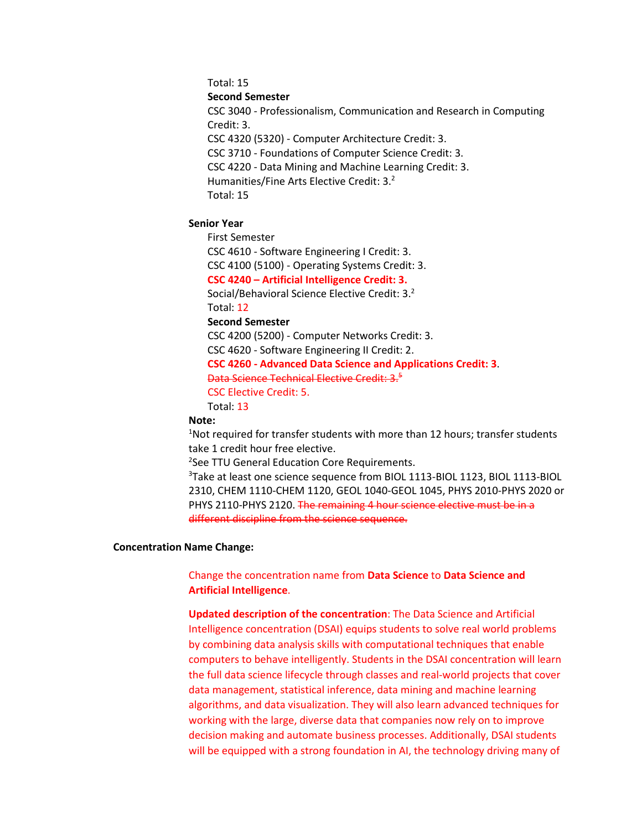Total: 15

**Second Semester**

CSC 3040 - Professionalism, Communication and Research in Computing Credit: 3. CSC 4320 (5320) - Computer Architecture Credit: 3. CSC 3710 - Foundations of Computer Science Credit: 3.

CSC 4220 - Data Mining and Machine Learning Credit: 3.

Humanities/Fine Arts Elective Credit: 3.2

Total: 15

# **Senior Year**

First Semester

CSC 4610 - Software Engineering I Credit: 3.

CSC 4100 (5100) - Operating Systems Credit: 3.

**CSC 4240 – Artificial Intelligence Credit: 3.**

Social/Behavioral Science Elective Credit: 3.2 Total: 12

# **Second Semester**

CSC 4200 (5200) - Computer Networks Credit: 3.

CSC 4620 - Software Engineering II Credit: 2.

# **CSC 4260 - Advanced Data Science and Applications Credit: 3**.

Data Science Technical Elective Credit: 3.<sup>5</sup>

CSC Elective Credit: 5.

Total: 13

# **Note:**

<sup>1</sup>Not required for transfer students with more than 12 hours; transfer students take 1 credit hour free elective.

<sup>2</sup>See TTU General Education Core Requirements.

3 Take at least one science sequence from BIOL 1113-BIOL 1123, BIOL 1113-BIOL 2310, CHEM 1110-CHEM 1120, GEOL 1040-GEOL 1045, PHYS 2010-PHYS 2020 or PHYS 2110-PHYS 2120. The remaining 4 hour science elective must be in a different discipline from the science sequence.

#### **Concentration Name Change:**

Change the concentration name from **Data Science** to **Data Science and Artificial Intelligence**.

**Updated description of the concentration**: The Data Science and Artificial Intelligence concentration (DSAI) equips students to solve real world problems by combining data analysis skills with computational techniques that enable computers to behave intelligently. Students in the DSAI concentration will learn the full data science lifecycle through classes and real-world projects that cover data management, statistical inference, data mining and machine learning algorithms, and data visualization. They will also learn advanced techniques for working with the large, diverse data that companies now rely on to improve decision making and automate business processes. Additionally, DSAI students will be equipped with a strong foundation in AI, the technology driving many of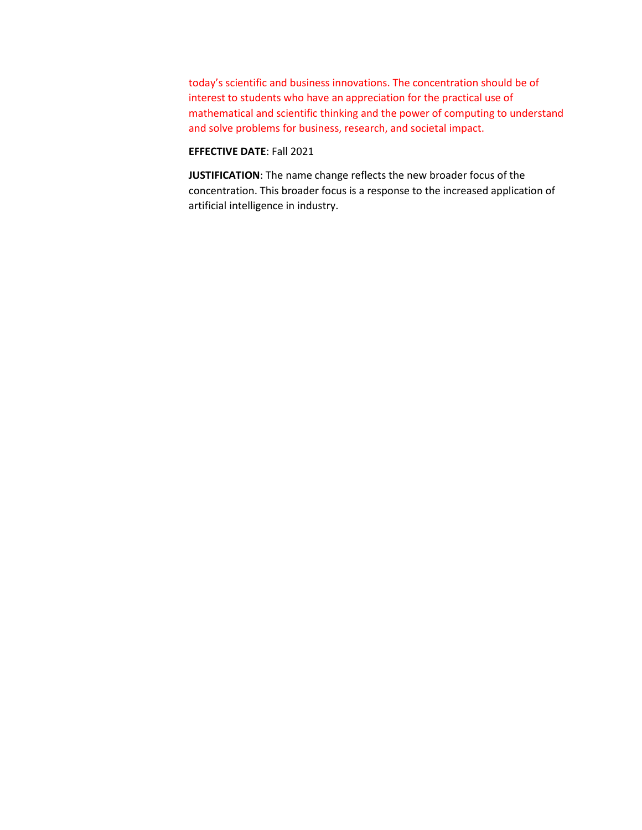today's scientific and business innovations. The concentration should be of interest to students who have an appreciation for the practical use of mathematical and scientific thinking and the power of computing to understand and solve problems for business, research, and societal impact.

# **EFFECTIVE DATE**: Fall 2021

**JUSTIFICATION**: The name change reflects the new broader focus of the concentration. This broader focus is a response to the increased application of artificial intelligence in industry.